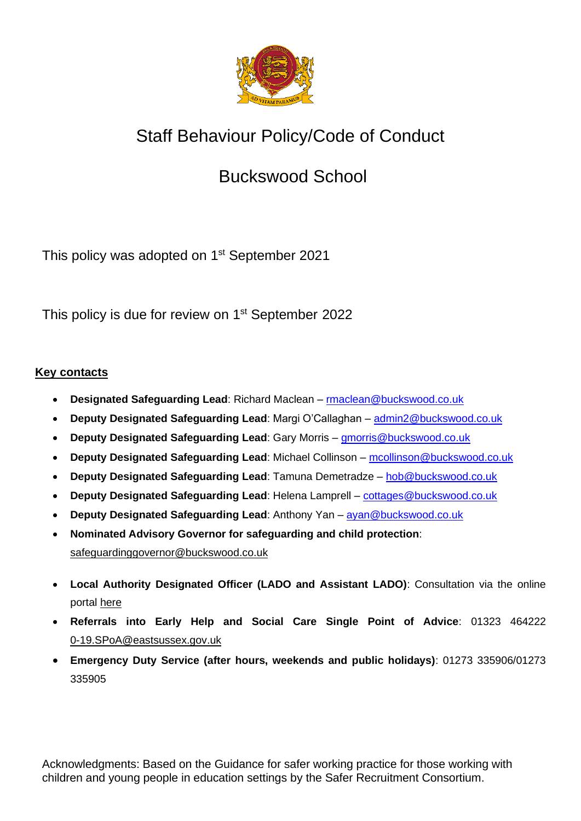

# Staff Behaviour Policy/Code of Conduct

## Buckswood School

This policy was adopted on 1<sup>st</sup> September 2021

This policy is due for review on 1<sup>st</sup> September 2022

## **Key contacts**

- **Designated Safeguarding Lead**: Richard Maclean [rmaclean@buckswood.co.uk](mailto:rmaclean@buckswood.co.uk)
- **Deputy Designated Safeguarding Lead**: Margi O'Callaghan [admin2@buckswood.co.uk](mailto:admin2@buckswood.co.uk)
- **Deputy Designated Safeguarding Lead**: Gary Morris [gmorris@buckswood.co.uk](mailto:gmorris@buckswood.co.uk)
- **Deputy Designated Safeguarding Lead**: Michael Collinson [mcollinson@buckswood.co.uk](mailto:mcollinson@buckswood.co.uk)
- **Deputy Designated Safeguarding Lead**: Tamuna Demetradze [hob@buckswood.co.uk](mailto:hob@buckswood.co.uk)
- **Deputy Designated Safeguarding Lead**: Helena Lamprell [cottages@buckswood.co.uk](mailto:cottages@buckswood.co.uk)
- **Deputy Designated Safeguarding Lead**: Anthony Yan [ayan@buckswood.co.uk](mailto:ayan@buckswood.co.uk)
- **Nominated Advisory Governor for safeguarding and child protection**: [safeguardinggovernor@buckswood.co.uk](mailto:safeguardinggovernor@buckswood.co.uk)
- **Local Authority Designated Officer (LADO and Assistant LADO)**: Consultation via the online portal [here](https://www.eastsussex.gov.uk/childrenandfamilies/professional-resources/lado/referrals/form-lado-referral/)
- **Referrals into Early Help and Social Care Single Point of Advice**: 01323 464222 [0-19.SPoA@eastsussex.gov.uk](mailto:0-19.SPoA@eastsussex.gov.uk)
- **Emergency Duty Service (after hours, weekends and public holidays)**: 01273 335906/01273 335905

Acknowledgments: Based on the Guidance for safer working practice for those working with children and young people in education settings by the Safer Recruitment Consortium.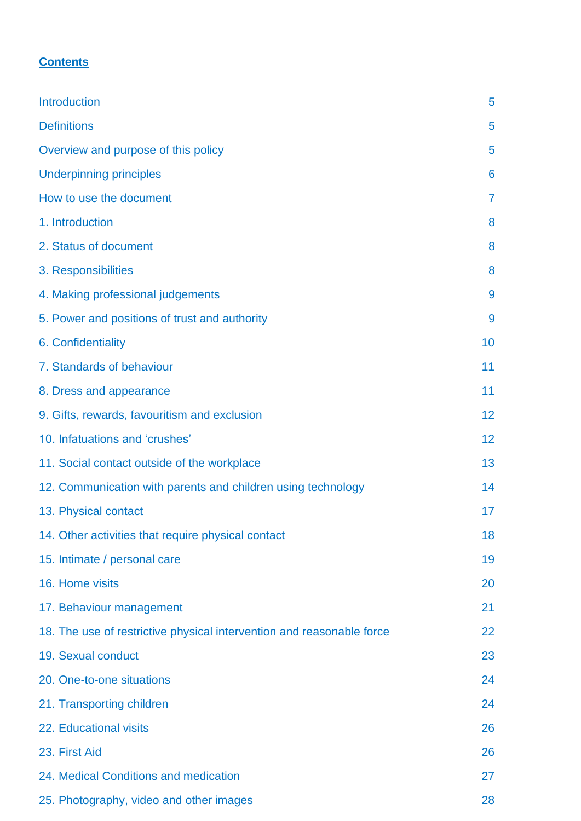## **Contents**

| <b>Introduction</b>                                                   | 5              |
|-----------------------------------------------------------------------|----------------|
| <b>Definitions</b>                                                    | 5              |
| Overview and purpose of this policy                                   | 5              |
| <b>Underpinning principles</b>                                        | 6              |
| How to use the document                                               | $\overline{7}$ |
| 1. Introduction                                                       | 8              |
| 2. Status of document                                                 | 8              |
| 3. Responsibilities                                                   | 8              |
| 4. Making professional judgements                                     | 9              |
| 5. Power and positions of trust and authority                         | 9              |
| 6. Confidentiality                                                    | 10             |
| 7. Standards of behaviour                                             | 11             |
| 8. Dress and appearance                                               | 11             |
| 9. Gifts, rewards, favouritism and exclusion                          | 12             |
| 10. Infatuations and 'crushes'                                        | 12             |
| 11. Social contact outside of the workplace                           | 13             |
| 12. Communication with parents and children using technology          | 14             |
| 13. Physical contact                                                  | 17             |
| 14. Other activities that require physical contact                    | 18             |
| 15. Intimate / personal care                                          | 19             |
| 16. Home visits                                                       | 20             |
| 17. Behaviour management                                              | 21             |
| 18. The use of restrictive physical intervention and reasonable force | 22             |
| 19. Sexual conduct                                                    | 23             |
| 20. One-to-one situations                                             | 24             |
| 21. Transporting children                                             | 24             |
| 22. Educational visits                                                | 26             |
| 23. First Aid                                                         | 26             |
| 24. Medical Conditions and medication                                 | 27             |
| 25. Photography, video and other images                               | 28             |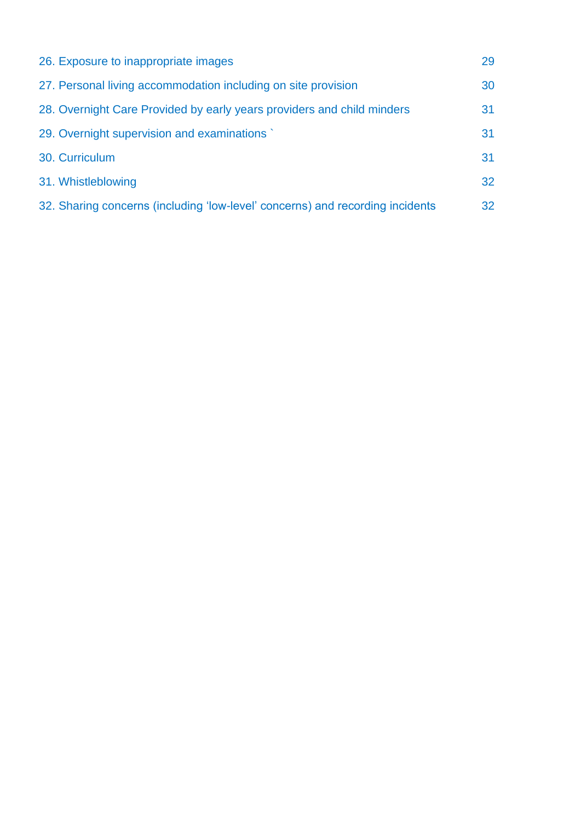| 26. Exposure to inappropriate images                                          | 29 |
|-------------------------------------------------------------------------------|----|
| 27. Personal living accommodation including on site provision                 | 30 |
| 28. Overnight Care Provided by early years providers and child minders        | 31 |
| 29. Overnight supervision and examinations                                    | 31 |
| 30. Curriculum                                                                | 31 |
| 31. Whistleblowing                                                            | 32 |
| 32. Sharing concerns (including 'low-level' concerns) and recording incidents | 32 |
|                                                                               |    |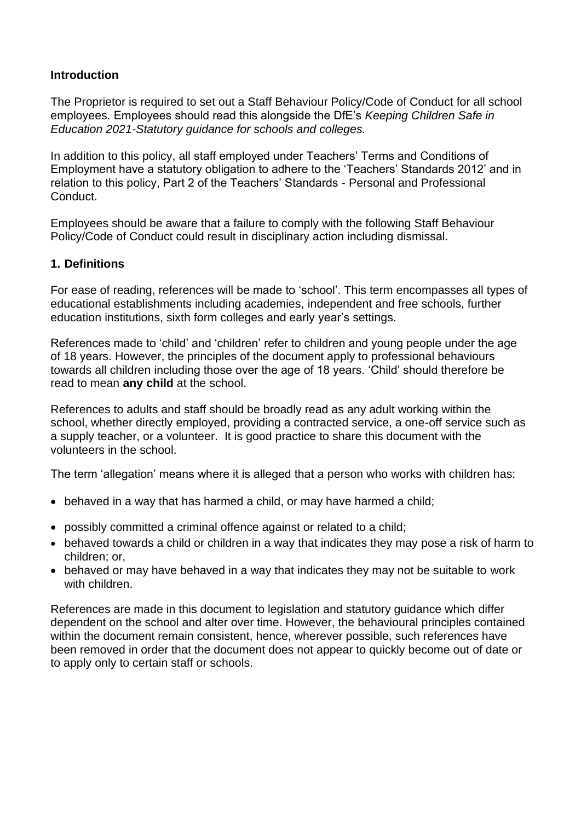## **Introduction**

The Proprietor is required to set out a Staff Behaviour Policy/Code of Conduct for all school employees. Employees should read this alongside the DfE's *Keeping Children Safe in Education 2021-Statutory guidance for schools and colleges.*

In addition to this policy, all staff employed under Teachers' Terms and Conditions of Employment have a statutory obligation to adhere to the 'Teachers' Standards 2012' and in relation to this policy, Part 2 of the Teachers' Standards - Personal and Professional Conduct.

Employees should be aware that a failure to comply with the following Staff Behaviour Policy/Code of Conduct could result in disciplinary action including dismissal.

## **1. Definitions**

For ease of reading, references will be made to 'school'. This term encompasses all types of educational establishments including academies, independent and free schools, further education institutions, sixth form colleges and early year's settings.

References made to 'child' and 'children' refer to children and young people under the age of 18 years. However, the principles of the document apply to professional behaviours towards all children including those over the age of 18 years. 'Child' should therefore be read to mean **any child** at the school.

References to adults and staff should be broadly read as any adult working within the school, whether directly employed, providing a contracted service, a one-off service such as a supply teacher, or a volunteer. It is good practice to share this document with the volunteers in the school.

The term 'allegation' means where it is alleged that a person who works with children has:

- behaved in a way that has harmed a child, or may have harmed a child;
- possibly committed a criminal offence against or related to a child;
- behaved towards a child or children in a way that indicates they may pose a risk of harm to children; or,
- behaved or may have behaved in a way that indicates they may not be suitable to work with children.

References are made in this document to legislation and statutory guidance which differ dependent on the school and alter over time. However, the behavioural principles contained within the document remain consistent, hence, wherever possible, such references have been removed in order that the document does not appear to quickly become out of date or to apply only to certain staff or schools.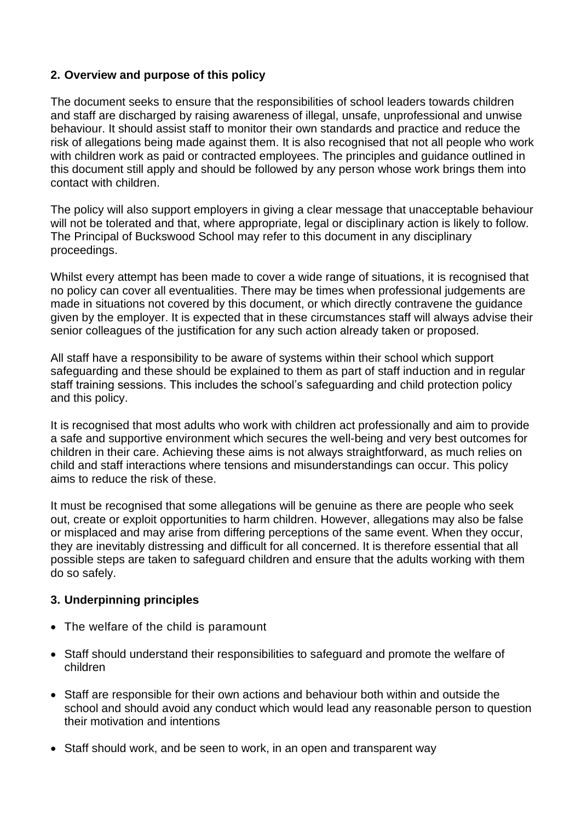## **2. Overview and purpose of this policy**

The document seeks to ensure that the responsibilities of school leaders towards children and staff are discharged by raising awareness of illegal, unsafe, unprofessional and unwise behaviour. It should assist staff to monitor their own standards and practice and reduce the risk of allegations being made against them. It is also recognised that not all people who work with children work as paid or contracted employees. The principles and guidance outlined in this document still apply and should be followed by any person whose work brings them into contact with children.

The policy will also support employers in giving a clear message that unacceptable behaviour will not be tolerated and that, where appropriate, legal or disciplinary action is likely to follow. The Principal of Buckswood School may refer to this document in any disciplinary proceedings.

Whilst every attempt has been made to cover a wide range of situations, it is recognised that no policy can cover all eventualities. There may be times when professional judgements are made in situations not covered by this document, or which directly contravene the guidance given by the employer. It is expected that in these circumstances staff will always advise their senior colleagues of the justification for any such action already taken or proposed.

All staff have a responsibility to be aware of systems within their school which support safeguarding and these should be explained to them as part of staff induction and in regular staff training sessions. This includes the school's safeguarding and child protection policy and this policy.

It is recognised that most adults who work with children act professionally and aim to provide a safe and supportive environment which secures the well-being and very best outcomes for children in their care. Achieving these aims is not always straightforward, as much relies on child and staff interactions where tensions and misunderstandings can occur. This policy aims to reduce the risk of these.

It must be recognised that some allegations will be genuine as there are people who seek out, create or exploit opportunities to harm children. However, allegations may also be false or misplaced and may arise from differing perceptions of the same event. When they occur, they are inevitably distressing and difficult for all concerned. It is therefore essential that all possible steps are taken to safeguard children and ensure that the adults working with them do so safely.

## **3. Underpinning principles**

- The welfare of the child is paramount
- Staff should understand their responsibilities to safeguard and promote the welfare of children
- Staff are responsible for their own actions and behaviour both within and outside the school and should avoid any conduct which would lead any reasonable person to question their motivation and intentions
- Staff should work, and be seen to work, in an open and transparent way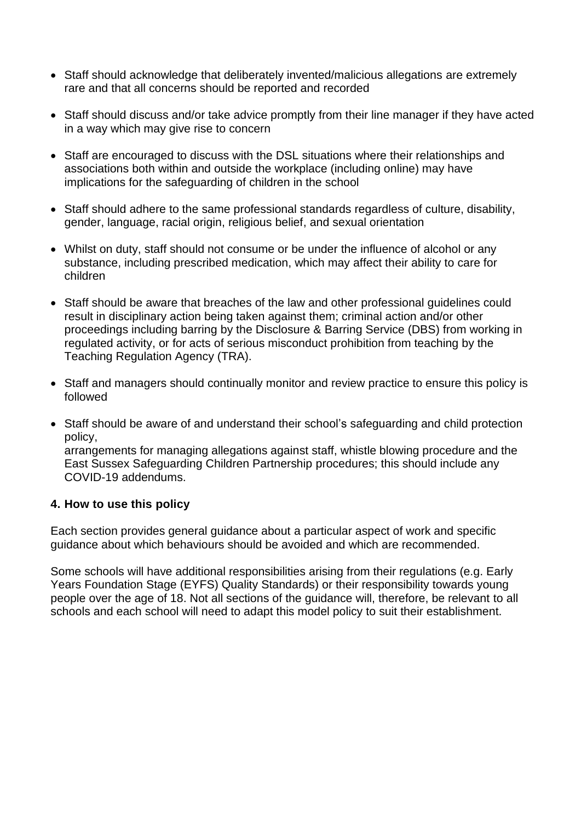- Staff should acknowledge that deliberately invented/malicious allegations are extremely rare and that all concerns should be reported and recorded
- Staff should discuss and/or take advice promptly from their line manager if they have acted in a way which may give rise to concern
- Staff are encouraged to discuss with the DSL situations where their relationships and associations both within and outside the workplace (including online) may have implications for the safeguarding of children in the school
- Staff should adhere to the same professional standards regardless of culture, disability, gender, language, racial origin, religious belief, and sexual orientation
- Whilst on duty, staff should not consume or be under the influence of alcohol or any substance, including prescribed medication, which may affect their ability to care for children
- Staff should be aware that breaches of the law and other professional guidelines could result in disciplinary action being taken against them; criminal action and/or other proceedings including barring by the Disclosure & Barring Service (DBS) from working in regulated activity, or for acts of serious misconduct prohibition from teaching by the Teaching Regulation Agency (TRA).
- Staff and managers should continually monitor and review practice to ensure this policy is followed
- Staff should be aware of and understand their school's safeguarding and child protection policy, arrangements for managing allegations against staff, whistle blowing procedure and the East Sussex Safeguarding Children Partnership procedures; this should include any COVID-19 addendums.

## **4. How to use this policy**

Each section provides general guidance about a particular aspect of work and specific guidance about which behaviours should be avoided and which are recommended.

Some schools will have additional responsibilities arising from their regulations (e.g. Early Years Foundation Stage (EYFS) Quality Standards) or their responsibility towards young people over the age of 18. Not all sections of the guidance will, therefore, be relevant to all schools and each school will need to adapt this model policy to suit their establishment.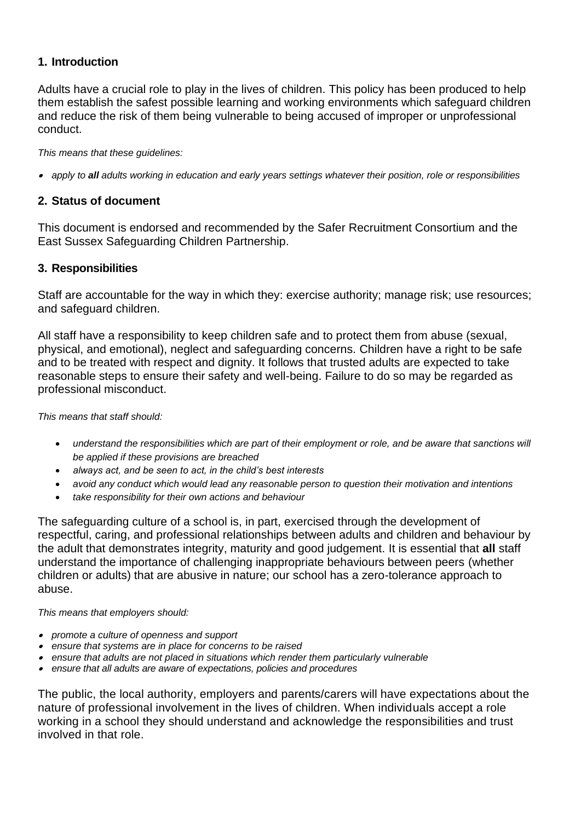## **1. Introduction**

Adults have a crucial role to play in the lives of children. This policy has been produced to help them establish the safest possible learning and working environments which safeguard children and reduce the risk of them being vulnerable to being accused of improper or unprofessional conduct.

*This means that these guidelines:*

• *apply to all adults working in education and early years settings whatever their position, role or responsibilities*

## **2. Status of document**

This document is endorsed and recommended by the Safer Recruitment Consortium and the East Sussex Safeguarding Children Partnership.

## **3. Responsibilities**

Staff are accountable for the way in which they: exercise authority; manage risk; use resources; and safeguard children.

All staff have a responsibility to keep children safe and to protect them from abuse (sexual, physical, and emotional), neglect and safeguarding concerns. Children have a right to be safe and to be treated with respect and dignity. It follows that trusted adults are expected to take reasonable steps to ensure their safety and well-being. Failure to do so may be regarded as professional misconduct.

#### *This means that staff should:*

- *understand the responsibilities which are part of their employment or role, and be aware that sanctions will be applied if these provisions are breached*
- *always act, and be seen to act, in the child's best interests*
- *avoid any conduct which would lead any reasonable person to question their motivation and intentions*
- *take responsibility for their own actions and behaviour*

The safeguarding culture of a school is, in part, exercised through the development of respectful, caring, and professional relationships between adults and children and behaviour by the adult that demonstrates integrity, maturity and good judgement. It is essential that **all** staff understand the importance of challenging inappropriate behaviours between peers (whether children or adults) that are abusive in nature; our school has a zero-tolerance approach to abuse.

#### *This means that employers should:*

- *promote a culture of openness and support*
- *ensure that systems are in place for concerns to be raised*
- *ensure that adults are not placed in situations which render them particularly vulnerable*
- *ensure that all adults are aware of expectations, policies and procedures*

The public, the local authority, employers and parents/carers will have expectations about the nature of professional involvement in the lives of children. When individuals accept a role working in a school they should understand and acknowledge the responsibilities and trust involved in that role.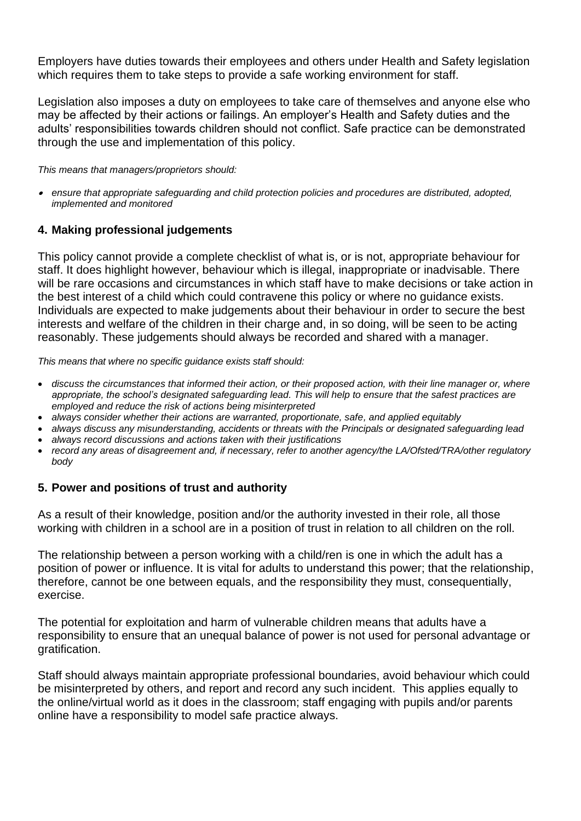Employers have duties towards their employees and others under Health and Safety legislation which requires them to take steps to provide a safe working environment for staff.

Legislation also imposes a duty on employees to take care of themselves and anyone else who may be affected by their actions or failings. An employer's Health and Safety duties and the adults' responsibilities towards children should not conflict. Safe practice can be demonstrated through the use and implementation of this policy.

*This means that managers/proprietors should:*

• *ensure that appropriate safeguarding and child protection policies and procedures are distributed, adopted, implemented and monitored*

## **4. Making professional judgements**

This policy cannot provide a complete checklist of what is, or is not, appropriate behaviour for staff. It does highlight however, behaviour which is illegal, inappropriate or inadvisable. There will be rare occasions and circumstances in which staff have to make decisions or take action in the best interest of a child which could contravene this policy or where no guidance exists. Individuals are expected to make judgements about their behaviour in order to secure the best interests and welfare of the children in their charge and, in so doing, will be seen to be acting reasonably. These judgements should always be recorded and shared with a manager.

*This means that where no specific guidance exists staff should:*

- *discuss the circumstances that informed their action, or their proposed action, with their line manager or, where appropriate, the school's designated safeguarding lead. This will help to ensure that the safest practices are employed and reduce the risk of actions being misinterpreted*
- *always consider whether their actions are warranted, proportionate, safe, and applied equitably*
- *always discuss any misunderstanding, accidents or threats with the Principals or designated safeguarding lead*
- *always record discussions and actions taken with their justifications*
- *record any areas of disagreement and, if necessary, refer to another agency/the LA/Ofsted/TRA/other regulatory body*

## **5. Power and positions of trust and authority**

As a result of their knowledge, position and/or the authority invested in their role, all those working with children in a school are in a position of trust in relation to all children on the roll.

The relationship between a person working with a child/ren is one in which the adult has a position of power or influence. It is vital for adults to understand this power; that the relationship, therefore, cannot be one between equals, and the responsibility they must, consequentially, exercise.

The potential for exploitation and harm of vulnerable children means that adults have a responsibility to ensure that an unequal balance of power is not used for personal advantage or gratification.

Staff should always maintain appropriate professional boundaries, avoid behaviour which could be misinterpreted by others, and report and record any such incident. This applies equally to the online/virtual world as it does in the classroom; staff engaging with pupils and/or parents online have a responsibility to model safe practice always.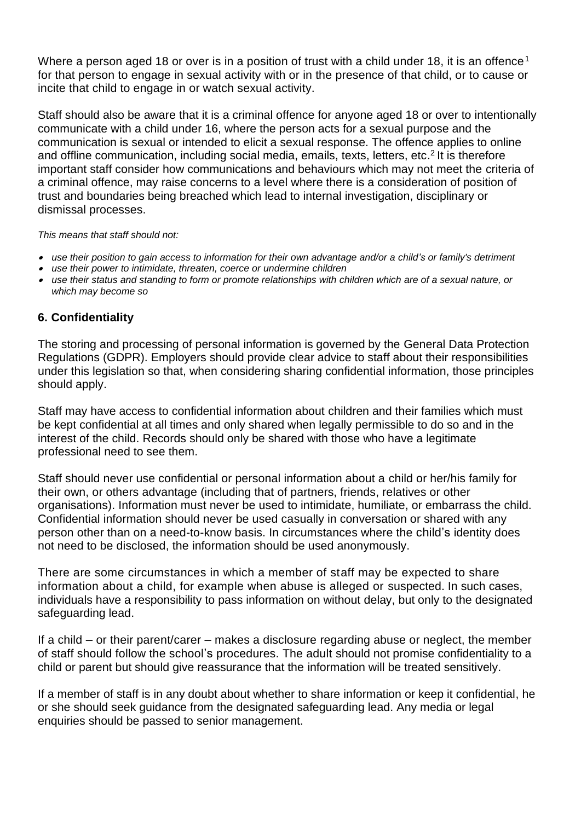Where a person aged 18 or over is in a position of trust with a child under 18, it is an offence<sup>1</sup> for that person to engage in sexual activity with or in the presence of that child, or to cause or incite that child to engage in or watch sexual activity.

Staff should also be aware that it is a criminal offence for anyone aged 18 or over to intentionally communicate with a child under 16, where the person acts for a sexual purpose and the communication is sexual or intended to elicit a sexual response. The offence applies to online and offline communication, including social media, emails, texts, letters, etc. 2 It is therefore important staff consider how communications and behaviours which may not meet the criteria of a criminal offence, may raise concerns to a level where there is a consideration of position of trust and boundaries being breached which lead to internal investigation, disciplinary or dismissal processes.

*This means that staff should not:*

- *use their position to gain access to information for their own advantage and/or a child's or family's detriment*
- •*use their power to intimidate, threaten, coerce or undermine children*
- • *use their status and standing to form or promote relationships with children which are of a sexual nature, or which may become so*

## **6. Confidentiality**

The storing and processing of personal information is governed by the General Data Protection Regulations (GDPR). Employers should provide clear advice to staff about their responsibilities under this legislation so that, when considering sharing confidential information, those principles should apply.

Staff may have access to confidential information about children and their families which must be kept confidential at all times and only shared when legally permissible to do so and in the interest of the child. Records should only be shared with those who have a legitimate professional need to see them.

Staff should never use confidential or personal information about a child or her/his family for their own, or others advantage (including that of partners, friends, relatives or other organisations). Information must never be used to intimidate, humiliate, or embarrass the child. Confidential information should never be used casually in conversation or shared with any person other than on a need-to-know basis. In circumstances where the child's identity does not need to be disclosed, the information should be used anonymously.

There are some circumstances in which a member of staff may be expected to share information about a child, for example when abuse is alleged or suspected. In such cases, individuals have a responsibility to pass information on without delay, but only to the designated safeguarding lead.

If a child – or their parent/carer – makes a disclosure regarding abuse or neglect, the member of staff should follow the school's procedures. The adult should not promise confidentiality to a child or parent but should give reassurance that the information will be treated sensitively.

If a member of staff is in any doubt about whether to share information or keep it confidential, he or she should seek guidance from the designated safeguarding lead. Any media or legal enquiries should be passed to senior management.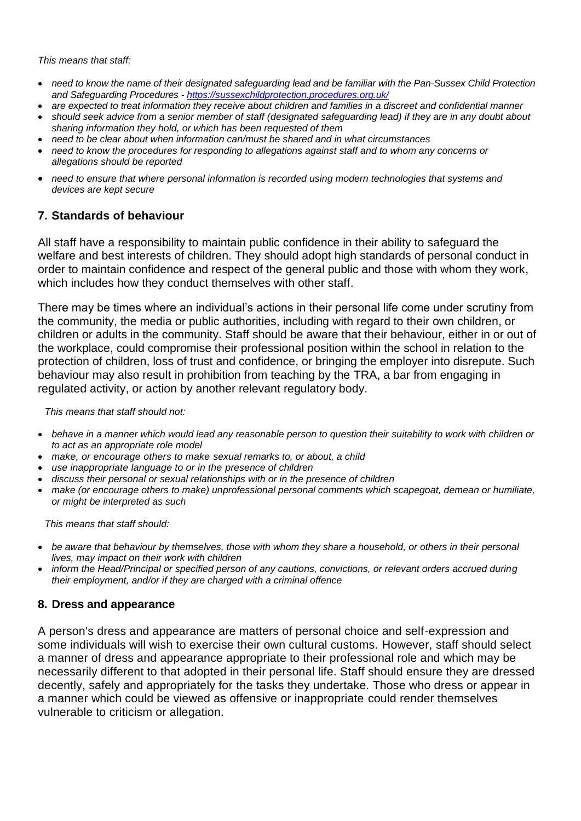*This means that staff:*

- *need to know the name of their designated safeguarding lead and be familiar with the Pan-Sussex Child Protection and Safeguarding Procedures - <https://sussexchildprotection.procedures.org.uk/>*
- *are expected to treat information they receive about children and families in a discreet and confidential manner*
- *should seek advice from a senior member of staff (designated safeguarding lead) if they are in any doubt about sharing information they hold, or which has been requested of them*
- *need to be clear about when information can/must be shared and in what circumstances*
- *need to know the procedures for responding to allegations against staff and to whom any concerns or allegations should be reported*
- *need to ensure that where personal information is recorded using modern technologies that systems and devices are kept secure*

## **7. Standards of behaviour**

All staff have a responsibility to maintain public confidence in their ability to safeguard the welfare and best interests of children. They should adopt high standards of personal conduct in order to maintain confidence and respect of the general public and those with whom they work, which includes how they conduct themselves with other staff.

There may be times where an individual's actions in their personal life come under scrutiny from the community, the media or public authorities, including with regard to their own children, or children or adults in the community. Staff should be aware that their behaviour, either in or out of the workplace, could compromise their professional position within the school in relation to the protection of children, loss of trust and confidence, or bringing the employer into disrepute. Such behaviour may also result in prohibition from teaching by the TRA, a bar from engaging in regulated activity, or action by another relevant regulatory body.

*This means that staff should not:*

- *behave in a manner which would lead any reasonable person to question their suitability to work with children or to act as an appropriate role model*
- *make, or encourage others to make sexual remarks to, or about, a child*
- *use inappropriate language to or in the presence of children*
- *discuss their personal or sexual relationships with or in the presence of children*
- *make (or encourage others to make) unprofessional personal comments which scapegoat, demean or humiliate, or might be interpreted as such*

*This means that staff should:*

- *be aware that behaviour by themselves, those with whom they share a household, or others in their personal lives, may impact on their work with children*
- *inform the Head/Principal or specified person of any cautions, convictions, or relevant orders accrued during their employment, and/or if they are charged with a criminal offence*

## **8. Dress and appearance**

A person's dress and appearance are matters of personal choice and self-expression and some individuals will wish to exercise their own cultural customs. However, staff should select a manner of dress and appearance appropriate to their professional role and which may be necessarily different to that adopted in their personal life. Staff should ensure they are dressed decently, safely and appropriately for the tasks they undertake. Those who dress or appear in a manner which could be viewed as offensive or inappropriate could render themselves vulnerable to criticism or allegation.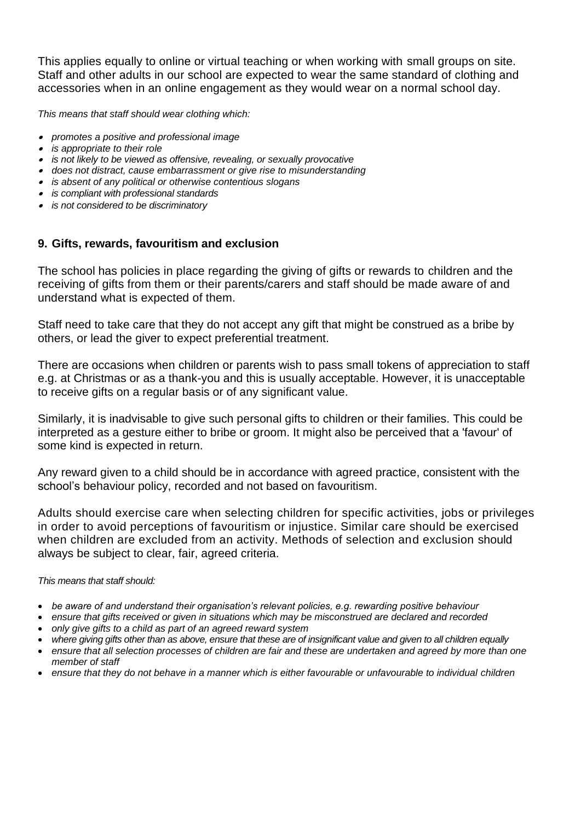This applies equally to online or virtual teaching or when working with small groups on site. Staff and other adults in our school are expected to wear the same standard of clothing and accessories when in an online engagement as they would wear on a normal school day.

*This means that staff should wear clothing which:*

- *promotes a positive and professional image*
- *is appropriate to their role*
- *is not likely to be viewed as offensive, revealing, or sexually provocative*
- *does not distract, cause embarrassment or give rise to misunderstanding*
- *is absent of any political or otherwise contentious slogans*
- *is compliant with professional standards*
- *is not considered to be discriminatory*

## **9. Gifts, rewards, favouritism and exclusion**

The school has policies in place regarding the giving of gifts or rewards to children and the receiving of gifts from them or their parents/carers and staff should be made aware of and understand what is expected of them.

Staff need to take care that they do not accept any gift that might be construed as a bribe by others, or lead the giver to expect preferential treatment.

There are occasions when children or parents wish to pass small tokens of appreciation to staff e.g. at Christmas or as a thank-you and this is usually acceptable. However, it is unacceptable to receive gifts on a regular basis or of any significant value.

Similarly, it is inadvisable to give such personal gifts to children or their families. This could be interpreted as a gesture either to bribe or groom. It might also be perceived that a 'favour' of some kind is expected in return.

Any reward given to a child should be in accordance with agreed practice, consistent with the school's behaviour policy, recorded and not based on favouritism.

Adults should exercise care when selecting children for specific activities, jobs or privileges in order to avoid perceptions of favouritism or injustice. Similar care should be exercised when children are excluded from an activity. Methods of selection and exclusion should always be subject to clear, fair, agreed criteria.

#### *This means that staff should:*

- *be aware of and understand their organisation's relevant policies, e.g. rewarding positive behaviour*
- *ensure that gifts received or given in situations which may be misconstrued are declared and recorded*
- *only give gifts to a child as part of an agreed reward system*
- *where giving gifts other than as above, ensure that these are of insignificant value and given to all children equally*
- *ensure that all selection processes of children are fair and these are undertaken and agreed by more than one member of staff*
- *ensure that they do not behave in a manner which is either favourable or unfavourable to individual children*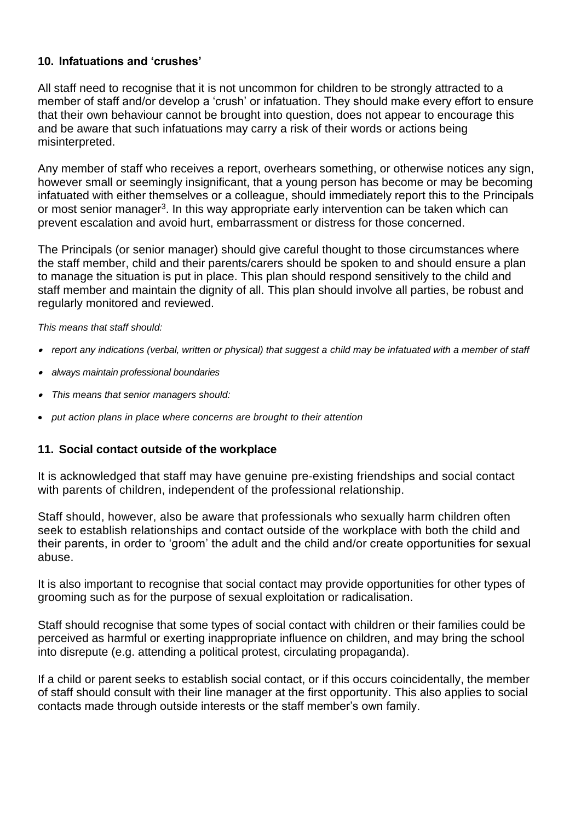## **10. Infatuations and 'crushes'**

All staff need to recognise that it is not uncommon for children to be strongly attracted to a member of staff and/or develop a 'crush' or infatuation. They should make every effort to ensure that their own behaviour cannot be brought into question, does not appear to encourage this and be aware that such infatuations may carry a risk of their words or actions being misinterpreted.

Any member of staff who receives a report, overhears something, or otherwise notices any sign, however small or seemingly insignificant, that a young person has become or may be becoming infatuated with either themselves or a colleague, should immediately report this to the Principals or most senior manager<sup>3</sup>. In this way appropriate early intervention can be taken which can prevent escalation and avoid hurt, embarrassment or distress for those concerned.

The Principals (or senior manager) should give careful thought to those circumstances where the staff member, child and their parents/carers should be spoken to and should ensure a plan to manage the situation is put in place. This plan should respond sensitively to the child and staff member and maintain the dignity of all. This plan should involve all parties, be robust and regularly monitored and reviewed.

*This means that staff should:*

- *report any indications (verbal, written or physical) that suggest a child may be infatuated with a member of staff*
- *always maintain professional boundaries*
- •*This means that senior managers should:*
- *put action plans in place where concerns are brought to their attention*

## **11. Social contact outside of the workplace**

It is acknowledged that staff may have genuine pre-existing friendships and social contact with parents of children, independent of the professional relationship.

Staff should, however, also be aware that professionals who sexually harm children often seek to establish relationships and contact outside of the workplace with both the child and their parents, in order to 'groom' the adult and the child and/or create opportunities for sexual abuse.

It is also important to recognise that social contact may provide opportunities for other types of grooming such as for the purpose of sexual exploitation or radicalisation.

Staff should recognise that some types of social contact with children or their families could be perceived as harmful or exerting inappropriate influence on children, and may bring the school into disrepute (e.g. attending a political protest, circulating propaganda).

If a child or parent seeks to establish social contact, or if this occurs coincidentally, the member of staff should consult with their line manager at the first opportunity. This also applies to social contacts made through outside interests or the staff member's own family.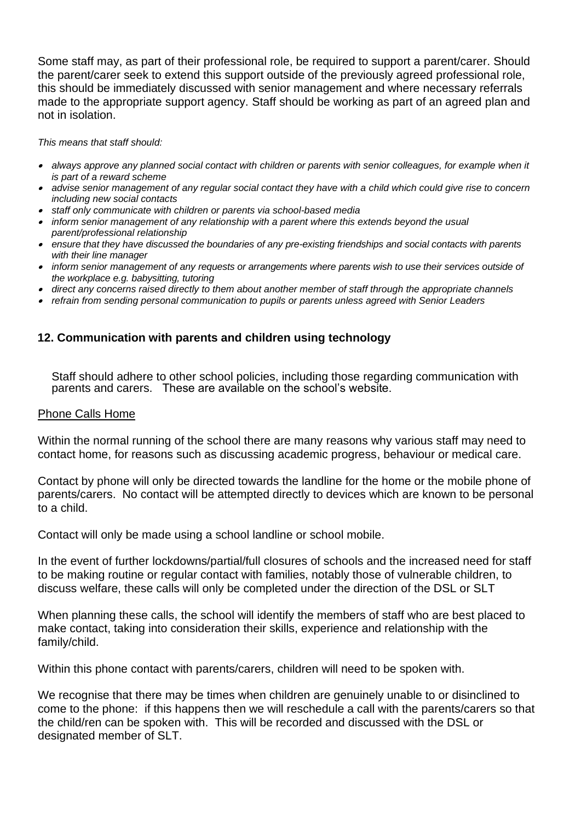Some staff may, as part of their professional role, be required to support a parent/carer. Should the parent/carer seek to extend this support outside of the previously agreed professional role, this should be immediately discussed with senior management and where necessary referrals made to the appropriate support agency. Staff should be working as part of an agreed plan and not in isolation.

*This means that staff should:*

- *always approve any planned social contact with children or parents with senior colleagues, for example when it is part of a reward scheme*
- *advise senior management of any regular social contact they have with a child which could give rise to concern including new social contacts*
- *staff only communicate with children or parents via school-based media*
- *inform senior management of any relationship with a parent where this extends beyond the usual parent/professional relationship*
- *ensure that they have discussed the boundaries of any pre-existing friendships and social contacts with parents with their line manager*
- *inform senior management of any requests or arrangements where parents wish to use their services outside of the workplace e.g. babysitting, tutoring*
- *direct any concerns raised directly to them about another member of staff through the appropriate channels*
- *refrain from sending personal communication to pupils or parents unless agreed with Senior Leaders*

## **12. Communication with parents and children using technology**

Staff should adhere to other school policies, including those regarding communication with parents and carers. These are available on the school's website.

#### Phone Calls Home

Within the normal running of the school there are many reasons why various staff may need to contact home, for reasons such as discussing academic progress, behaviour or medical care.

Contact by phone will only be directed towards the landline for the home or the mobile phone of parents/carers. No contact will be attempted directly to devices which are known to be personal to a child.

Contact will only be made using a school landline or school mobile.

In the event of further lockdowns/partial/full closures of schools and the increased need for staff to be making routine or regular contact with families, notably those of vulnerable children, to discuss welfare, these calls will only be completed under the direction of the DSL or SLT

When planning these calls, the school will identify the members of staff who are best placed to make contact, taking into consideration their skills, experience and relationship with the family/child.

Within this phone contact with parents/carers, children will need to be spoken with.

We recognise that there may be times when children are genuinely unable to or disinclined to come to the phone: if this happens then we will reschedule a call with the parents/carers so that the child/ren can be spoken with. This will be recorded and discussed with the DSL or designated member of SLT.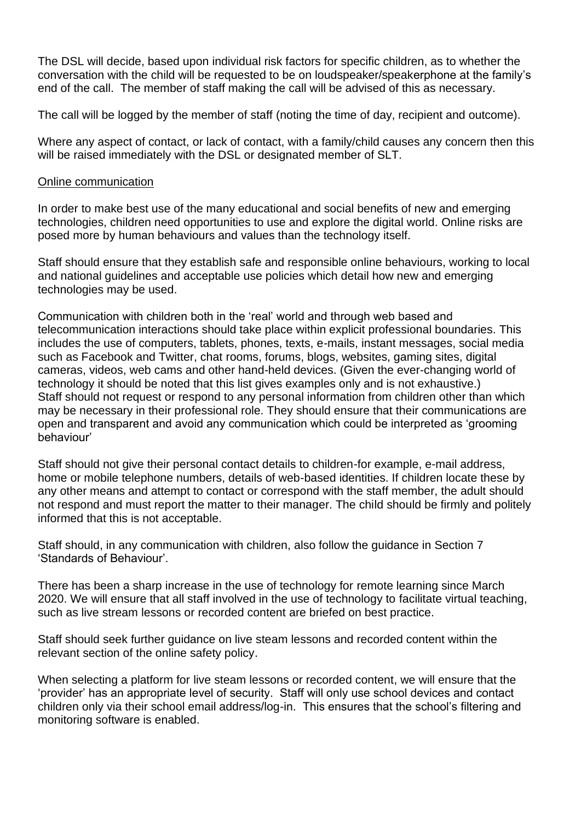The DSL will decide, based upon individual risk factors for specific children, as to whether the conversation with the child will be requested to be on loudspeaker/speakerphone at the family's end of the call. The member of staff making the call will be advised of this as necessary.

The call will be logged by the member of staff (noting the time of day, recipient and outcome).

Where any aspect of contact, or lack of contact, with a family/child causes any concern then this will be raised immediately with the DSL or designated member of SLT.

## Online communication

In order to make best use of the many educational and social benefits of new and emerging technologies, children need opportunities to use and explore the digital world. Online risks are posed more by human behaviours and values than the technology itself.

Staff should ensure that they establish safe and responsible online behaviours, working to local and national guidelines and acceptable use policies which detail how new and emerging technologies may be used.

Communication with children both in the 'real' world and through web based and telecommunication interactions should take place within explicit professional boundaries. This includes the use of computers, tablets, phones, texts, e-mails, instant messages, social media such as Facebook and Twitter, chat rooms, forums, blogs, websites, gaming sites, digital cameras, videos, web cams and other hand-held devices. (Given the ever-changing world of technology it should be noted that this list gives examples only and is not exhaustive.) Staff should not request or respond to any personal information from children other than which may be necessary in their professional role. They should ensure that their communications are open and transparent and avoid any communication which could be interpreted as 'grooming behaviour'

Staff should not give their personal contact details to children-for example, e-mail address, home or mobile telephone numbers, details of web-based identities. If children locate these by any other means and attempt to contact or correspond with the staff member, the adult should not respond and must report the matter to their manager. The child should be firmly and politely informed that this is not acceptable.

Staff should, in any communication with children, also follow the guidance in Section 7 'Standards of Behaviour'.

There has been a sharp increase in the use of technology for remote learning since March 2020. We will ensure that all staff involved in the use of technology to facilitate virtual teaching, such as live stream lessons or recorded content are briefed on best practice.

Staff should seek further guidance on live steam lessons and recorded content within the relevant section of the online safety policy.

When selecting a platform for live steam lessons or recorded content, we will ensure that the 'provider' has an appropriate level of security. Staff will only use school devices and contact children only via their school email address/log-in. This ensures that the school's filtering and monitoring software is enabled.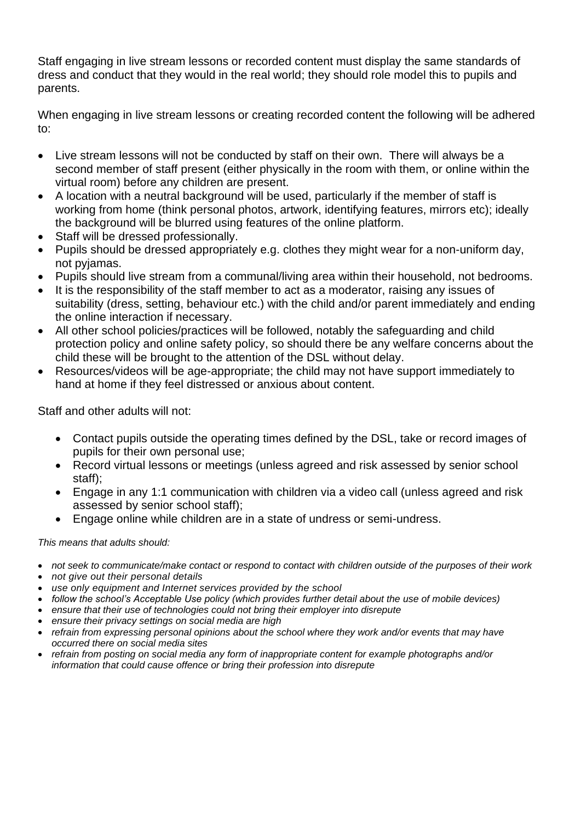Staff engaging in live stream lessons or recorded content must display the same standards of dress and conduct that they would in the real world; they should role model this to pupils and parents.

When engaging in live stream lessons or creating recorded content the following will be adhered to:

- Live stream lessons will not be conducted by staff on their own. There will always be a second member of staff present (either physically in the room with them, or online within the virtual room) before any children are present.
- A location with a neutral background will be used, particularly if the member of staff is working from home (think personal photos, artwork, identifying features, mirrors etc); ideally the background will be blurred using features of the online platform.
- Staff will be dressed professionally.
- Pupils should be dressed appropriately e.g. clothes they might wear for a non-uniform day, not pyjamas.
- Pupils should live stream from a communal/living area within their household, not bedrooms.
- It is the responsibility of the staff member to act as a moderator, raising any issues of suitability (dress, setting, behaviour etc.) with the child and/or parent immediately and ending the online interaction if necessary.
- All other school policies/practices will be followed, notably the safeguarding and child protection policy and online safety policy, so should there be any welfare concerns about the child these will be brought to the attention of the DSL without delay.
- Resources/videos will be age-appropriate; the child may not have support immediately to hand at home if they feel distressed or anxious about content.

Staff and other adults will not:

- Contact pupils outside the operating times defined by the DSL, take or record images of pupils for their own personal use;
- Record virtual lessons or meetings (unless agreed and risk assessed by senior school staff);
- Engage in any 1:1 communication with children via a video call (unless agreed and risk assessed by senior school staff);
- Engage online while children are in a state of undress or semi-undress.

## *This means that adults should:*

- *not seek to communicate/make contact or respond to contact with children outside of the purposes of their work*
- *not give out their personal details*
- *use only equipment and Internet services provided by the school*
- *follow the school's Acceptable Use policy (which provides further detail about the use of mobile devices)*
- *ensure that their use of technologies could not bring their employer into disrepute*
- *ensure their privacy settings on social media are high*
- *refrain from expressing personal opinions about the school where they work and/or events that may have occurred there on social media sites*
- *refrain from posting on social media any form of inappropriate content for example photographs and/or information that could cause offence or bring their profession into disrepute*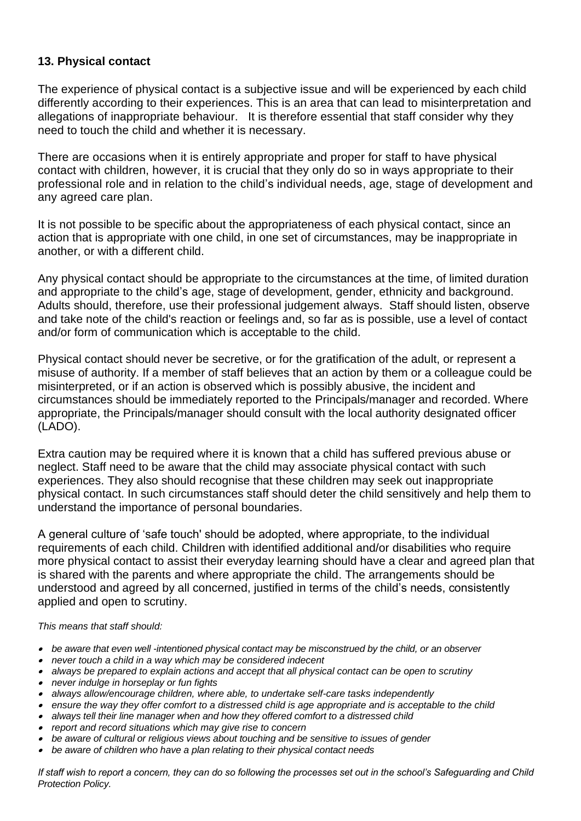## **13. Physical contact**

The experience of physical contact is a subjective issue and will be experienced by each child differently according to their experiences. This is an area that can lead to misinterpretation and allegations of inappropriate behaviour. It is therefore essential that staff consider why they need to touch the child and whether it is necessary.

There are occasions when it is entirely appropriate and proper for staff to have physical contact with children, however, it is crucial that they only do so in ways appropriate to their professional role and in relation to the child's individual needs, age, stage of development and any agreed care plan.

It is not possible to be specific about the appropriateness of each physical contact, since an action that is appropriate with one child, in one set of circumstances, may be inappropriate in another, or with a different child.

Any physical contact should be appropriate to the circumstances at the time, of limited duration and appropriate to the child's age, stage of development, gender, ethnicity and background. Adults should, therefore, use their professional judgement always. Staff should listen, observe and take note of the child's reaction or feelings and, so far as is possible, use a level of contact and/or form of communication which is acceptable to the child.

Physical contact should never be secretive, or for the gratification of the adult, or represent a misuse of authority. If a member of staff believes that an action by them or a colleague could be misinterpreted, or if an action is observed which is possibly abusive, the incident and circumstances should be immediately reported to the Principals/manager and recorded. Where appropriate, the Principals/manager should consult with the local authority designated officer (LADO).

Extra caution may be required where it is known that a child has suffered previous abuse or neglect. Staff need to be aware that the child may associate physical contact with such experiences. They also should recognise that these children may seek out inappropriate physical contact. In such circumstances staff should deter the child sensitively and help them to understand the importance of personal boundaries.

A general culture of 'safe touch' should be adopted, where appropriate, to the individual requirements of each child. Children with identified additional and/or disabilities who require more physical contact to assist their everyday learning should have a clear and agreed plan that is shared with the parents and where appropriate the child. The arrangements should be understood and agreed by all concerned, justified in terms of the child's needs, consistently applied and open to scrutiny.

*This means that staff should:*

- *be aware that even well -intentioned physical contact may be misconstrued by the child, or an observer*
- *never touch a child in a way which may be considered indecent*
- *always be prepared to explain actions and accept that all physical contact can be open to scrutiny*
- *never indulge in horseplay or fun fights*
- *always allow/encourage children, where able, to undertake self-care tasks independently*
- *ensure the way they offer comfort to a distressed child is age appropriate and is acceptable to the child*
- *always tell their line manager when and how they offered comfort to a distressed child*
- •*report and record situations which may give rise to concern*
- •*be aware of cultural or religious views about touching and be sensitive to issues of gender*
- *be aware of children who have a plan relating to their physical contact needs*

*If staff wish to report a concern, they can do so following the processes set out in the school's Safeguarding and Child Protection Policy.*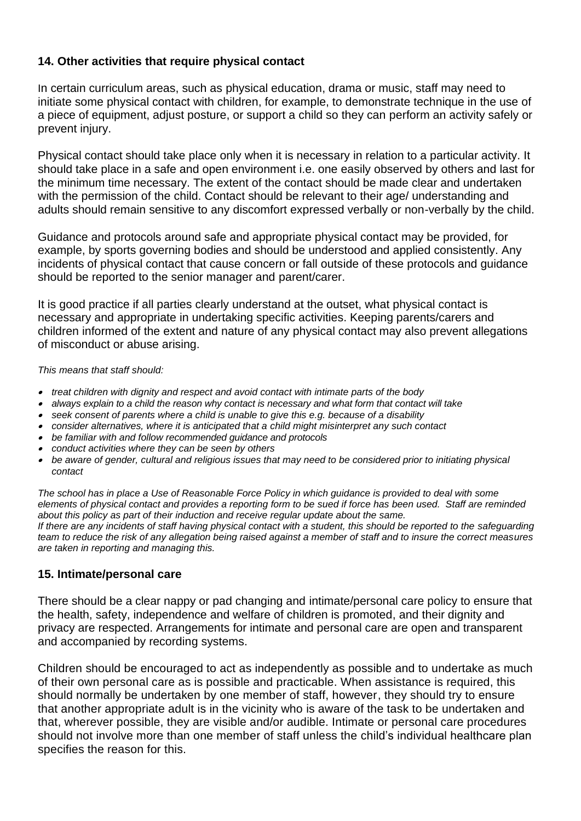## **14. Other activities that require physical contact**

In certain curriculum areas, such as physical education, drama or music, staff may need to initiate some physical contact with children, for example, to demonstrate technique in the use of a piece of equipment, adjust posture, or support a child so they can perform an activity safely or prevent injury.

Physical contact should take place only when it is necessary in relation to a particular activity. It should take place in a safe and open environment i.e. one easily observed by others and last for the minimum time necessary. The extent of the contact should be made clear and undertaken with the permission of the child. Contact should be relevant to their age/ understanding and adults should remain sensitive to any discomfort expressed verbally or non-verbally by the child.

Guidance and protocols around safe and appropriate physical contact may be provided, for example, by sports governing bodies and should be understood and applied consistently. Any incidents of physical contact that cause concern or fall outside of these protocols and guidance should be reported to the senior manager and parent/carer.

It is good practice if all parties clearly understand at the outset, what physical contact is necessary and appropriate in undertaking specific activities. Keeping parents/carers and children informed of the extent and nature of any physical contact may also prevent allegations of misconduct or abuse arising.

*This means that staff should:*

- *treat children with dignity and respect and avoid contact with intimate parts of the body*
- *always explain to a child the reason why contact is necessary and what form that contact will take*
- *seek consent of parents where a child is unable to give this e.g. because of a disability*
- *consider alternatives, where it is anticipated that a child might misinterpret any such contact*
- *be familiar with and follow recommended guidance and protocols*
- *conduct activities where they can be seen by others*
- be aware of gender, cultural and religious issues that may need to be considered prior to initiating physical *contact*

*The school has in place a Use of Reasonable Force Policy in which guidance is provided to deal with some elements of physical contact and provides a reporting form to be sued if force has been used. Staff are reminded about this policy as part of their induction and receive regular update about the same. If there are any incidents of staff having physical contact with a student, this should be reported to the safeguarding team to reduce the risk of any allegation being raised against a member of staff and to insure the correct measures are taken in reporting and managing this.*

## **15. Intimate/personal care**

There should be a clear nappy or pad changing and intimate/personal care policy to ensure that the health, safety, independence and welfare of children is promoted, and their dignity and privacy are respected. Arrangements for intimate and personal care are open and transparent and accompanied by recording systems.

Children should be encouraged to act as independently as possible and to undertake as much of their own personal care as is possible and practicable. When assistance is required, this should normally be undertaken by one member of staff, however, they should try to ensure that another appropriate adult is in the vicinity who is aware of the task to be undertaken and that, wherever possible, they are visible and/or audible. Intimate or personal care procedures should not involve more than one member of staff unless the child's individual healthcare plan specifies the reason for this.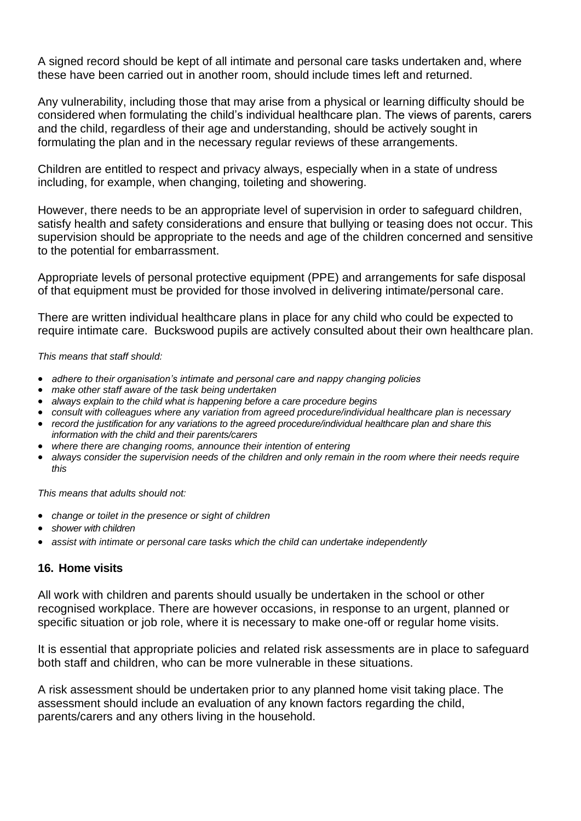A signed record should be kept of all intimate and personal care tasks undertaken and, where these have been carried out in another room, should include times left and returned.

Any vulnerability, including those that may arise from a physical or learning difficulty should be considered when formulating the child's individual healthcare plan. The views of parents, carers and the child, regardless of their age and understanding, should be actively sought in formulating the plan and in the necessary regular reviews of these arrangements.

Children are entitled to respect and privacy always, especially when in a state of undress including, for example, when changing, toileting and showering.

However, there needs to be an appropriate level of supervision in order to safeguard children, satisfy health and safety considerations and ensure that bullying or teasing does not occur. This supervision should be appropriate to the needs and age of the children concerned and sensitive to the potential for embarrassment.

Appropriate levels of personal protective equipment (PPE) and arrangements for safe disposal of that equipment must be provided for those involved in delivering intimate/personal care.

There are written individual healthcare plans in place for any child who could be expected to require intimate care. Buckswood pupils are actively consulted about their own healthcare plan.

#### *This means that staff should:*

- *adhere to their organisation's intimate and personal care and nappy changing policies*
- *make other staff aware of the task being undertaken*
- *always explain to the child what is happening before a care procedure begins*
- *consult with colleagues where any variation from agreed procedure/individual healthcare plan is necessary*
- *record the justification for any variations to the agreed procedure/individual healthcare plan and share this information with the child and their parents/carers*
- *where there are changing rooms, announce their intention of entering*
- *always consider the supervision needs of the children and only remain in the room where their needs require this*

*This means that adults should not:*

- *change or toilet in the presence or sight of children*
- *shower with children*
- *assist with intimate or personal care tasks which the child can undertake independently*

## **16. Home visits**

All work with children and parents should usually be undertaken in the school or other recognised workplace. There are however occasions, in response to an urgent, planned or specific situation or job role, where it is necessary to make one-off or regular home visits.

It is essential that appropriate policies and related risk assessments are in place to safeguard both staff and children, who can be more vulnerable in these situations.

A risk assessment should be undertaken prior to any planned home visit taking place. The assessment should include an evaluation of any known factors regarding the child, parents/carers and any others living in the household.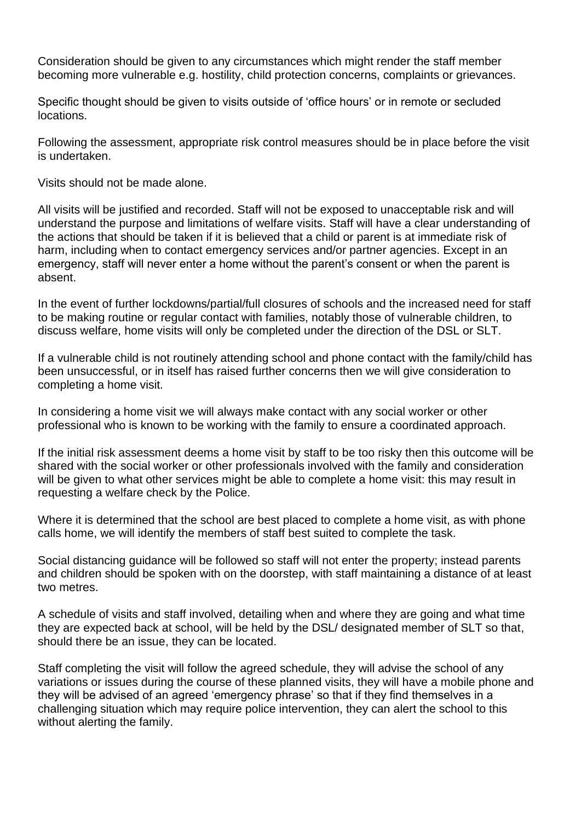Consideration should be given to any circumstances which might render the staff member becoming more vulnerable e.g. hostility, child protection concerns, complaints or grievances.

Specific thought should be given to visits outside of 'office hours' or in remote or secluded locations.

Following the assessment, appropriate risk control measures should be in place before the visit is undertaken.

Visits should not be made alone.

All visits will be justified and recorded. Staff will not be exposed to unacceptable risk and will understand the purpose and limitations of welfare visits. Staff will have a clear understanding of the actions that should be taken if it is believed that a child or parent is at immediate risk of harm, including when to contact emergency services and/or partner agencies. Except in an emergency, staff will never enter a home without the parent's consent or when the parent is absent.

In the event of further lockdowns/partial/full closures of schools and the increased need for staff to be making routine or regular contact with families, notably those of vulnerable children, to discuss welfare, home visits will only be completed under the direction of the DSL or SLT.

If a vulnerable child is not routinely attending school and phone contact with the family/child has been unsuccessful, or in itself has raised further concerns then we will give consideration to completing a home visit.

In considering a home visit we will always make contact with any social worker or other professional who is known to be working with the family to ensure a coordinated approach.

If the initial risk assessment deems a home visit by staff to be too risky then this outcome will be shared with the social worker or other professionals involved with the family and consideration will be given to what other services might be able to complete a home visit: this may result in requesting a welfare check by the Police.

Where it is determined that the school are best placed to complete a home visit, as with phone calls home, we will identify the members of staff best suited to complete the task.

Social distancing guidance will be followed so staff will not enter the property; instead parents and children should be spoken with on the doorstep, with staff maintaining a distance of at least two metres.

A schedule of visits and staff involved, detailing when and where they are going and what time they are expected back at school, will be held by the DSL/ designated member of SLT so that, should there be an issue, they can be located.

Staff completing the visit will follow the agreed schedule, they will advise the school of any variations or issues during the course of these planned visits, they will have a mobile phone and they will be advised of an agreed 'emergency phrase' so that if they find themselves in a challenging situation which may require police intervention, they can alert the school to this without alerting the family.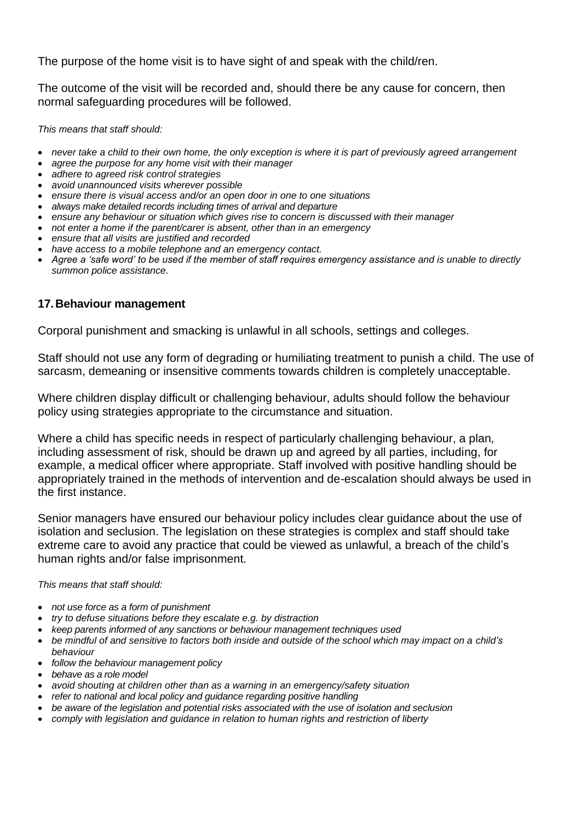The purpose of the home visit is to have sight of and speak with the child/ren.

The outcome of the visit will be recorded and, should there be any cause for concern, then normal safeguarding procedures will be followed.

*This means that staff should:*

- *never take a child to their own home, the only exception is where it is part of previously agreed arrangement*
- *agree the purpose for any home visit with their manager*
- *adhere to agreed risk control strategies*
- *avoid unannounced visits wherever possible*
- *ensure there is visual access and/or an open door in one to one situations*
- *always make detailed records including times of arrival and departure*
- *ensure any behaviour or situation which gives rise to concern is discussed with their manager*
- *not enter a home if the parent/carer is absent, other than in an emergency*
- *ensure that all visits are justified and recorded*
- *have access to a mobile telephone and an emergency contact.*
- *Agree a 'safe word' to be used if the member of staff requires emergency assistance and is unable to directly summon police assistance.*

### **17.Behaviour management**

Corporal punishment and smacking is unlawful in all schools, settings and colleges.

Staff should not use any form of degrading or humiliating treatment to punish a child. The use of sarcasm, demeaning or insensitive comments towards children is completely unacceptable.

Where children display difficult or challenging behaviour, adults should follow the behaviour policy using strategies appropriate to the circumstance and situation.

Where a child has specific needs in respect of particularly challenging behaviour, a plan*,*  including assessment of risk, should be drawn up and agreed by all parties, including, for example, a medical officer where appropriate. Staff involved with positive handling should be appropriately trained in the methods of intervention and de-escalation should always be used in the first instance.

Senior managers have ensured our behaviour policy includes clear guidance about the use of isolation and seclusion. The legislation on these strategies is complex and staff should take extreme care to avoid any practice that could be viewed as unlawful, a breach of the child's human rights and/or false imprisonment.

*This means that staff should:*

- *not use force as a form of punishment*
- *try to defuse situations before they escalate e.g. by distraction*
- *keep parents informed of any sanctions or behaviour management techniques used*
- *be mindful of and sensitive to factors both inside and outside of the school which may impact on a child's behaviour*
- *follow the behaviour management policy*
- *behave as a role model*
- *avoid shouting at children other than as a warning in an emergency/safety situation*
- *refer to national and local policy and guidance regarding positive handling*
- *be aware of the legislation and potential risks associated with the use of isolation and seclusion*
- *comply with legislation and guidance in relation to human rights and restriction of liberty*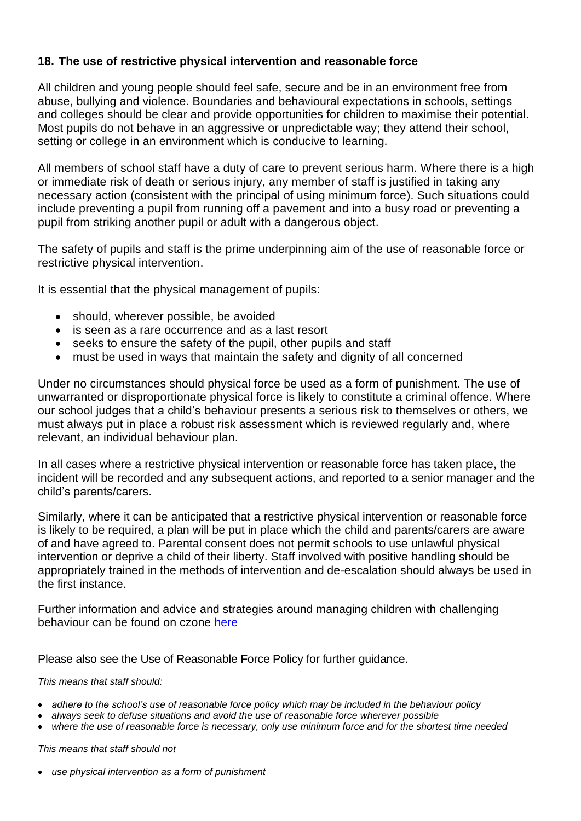## **18. The use of restrictive physical intervention and reasonable force**

All children and young people should feel safe, secure and be in an environment free from abuse, bullying and violence. Boundaries and behavioural expectations in schools, settings and colleges should be clear and provide opportunities for children to maximise their potential. Most pupils do not behave in an aggressive or unpredictable way; they attend their school, setting or college in an environment which is conducive to learning.

All members of school staff have a duty of care to prevent serious harm. Where there is a high or immediate risk of death or serious injury, any member of staff is justified in taking any necessary action (consistent with the principal of using minimum force). Such situations could include preventing a pupil from running off a pavement and into a busy road or preventing a pupil from striking another pupil or adult with a dangerous object.

The safety of pupils and staff is the prime underpinning aim of the use of reasonable force or restrictive physical intervention.

It is essential that the physical management of pupils:

- should, wherever possible, be avoided
- is seen as a rare occurrence and as a last resort
- seeks to ensure the safety of the pupil, other pupils and staff
- must be used in ways that maintain the safety and dignity of all concerned

Under no circumstances should physical force be used as a form of punishment. The use of unwarranted or disproportionate physical force is likely to constitute a criminal offence. Where our school judges that a child's behaviour presents a serious risk to themselves or others, we must always put in place a robust risk assessment which is reviewed regularly and, where relevant, an individual behaviour plan.

In all cases where a restrictive physical intervention or reasonable force has taken place, the incident will be recorded and any subsequent actions, and reported to a senior manager and the child's parents/carers.

Similarly, where it can be anticipated that a restrictive physical intervention or reasonable force is likely to be required, a plan will be put in place which the child and parents/carers are aware of and have agreed to. Parental consent does not permit schools to use unlawful physical intervention or deprive a child of their liberty. Staff involved with positive handling should be appropriately trained in the methods of intervention and de-escalation should always be used in the first instance.

Further information and advice and strategies around managing children with challenging behaviour can be found on czone [here](https://czone.eastsussex.gov.uk/student-management/attendance-behaviour/challenging-behaviour/)

Please also see the Use of Reasonable Force Policy for further guidance.

#### *This means that staff should:*

- *adhere to the school's use of reasonable force policy which may be included in the behaviour policy*
- *always seek to defuse situations and avoid the use of reasonable force wherever possible*
- *where the use of reasonable force is necessary, only use minimum force and for the shortest time needed*

#### *This means that staff should not*

• *use physical intervention as a form of punishment*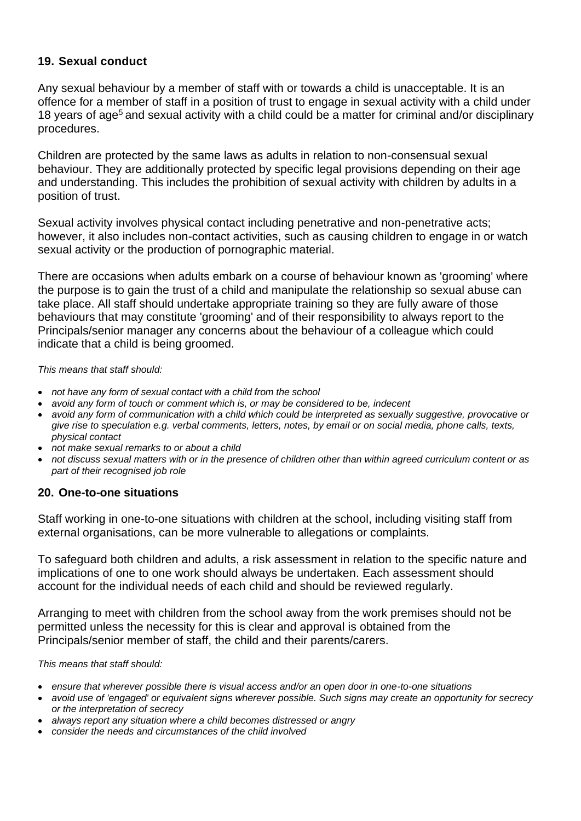## **19. Sexual conduct**

Any sexual behaviour by a member of staff with or towards a child is unacceptable. It is an offence for a member of staff in a position of trust to engage in sexual activity with a child under 18 years of age<sup>5</sup> and sexual activity with a child could be a matter for criminal and/or disciplinary procedures.

Children are protected by the same laws as adults in relation to non-consensual sexual behaviour. They are additionally protected by specific legal provisions depending on their age and understanding. This includes the prohibition of sexual activity with children by adults in a position of trust.

Sexual activity involves physical contact including penetrative and non-penetrative acts; however, it also includes non-contact activities, such as causing children to engage in or watch sexual activity or the production of pornographic material.

There are occasions when adults embark on a course of behaviour known as 'grooming' where the purpose is to gain the trust of a child and manipulate the relationship so sexual abuse can take place. All staff should undertake appropriate training so they are fully aware of those behaviours that may constitute 'grooming' and of their responsibility to always report to the Principals/senior manager any concerns about the behaviour of a colleague which could indicate that a child is being groomed.

*This means that staff should:*

- *not have any form of sexual contact with a child from the school*
- *avoid any form of touch or comment which is, or may be considered to be, indecent*
- *avoid any form of communication with a child which could be interpreted as sexually suggestive, provocative or give rise to speculation e.g. verbal comments, letters, notes, by email or on social media, phone calls, texts, physical contact*
- *not make sexual remarks to or about a child*
- *not discuss sexual matters with or in the presence of children other than within agreed curriculum content or as part of their recognised job role*

#### **20. One-to-one situations**

Staff working in one-to-one situations with children at the school, including visiting staff from external organisations, can be more vulnerable to allegations or complaints.

To safeguard both children and adults, a risk assessment in relation to the specific nature and implications of one to one work should always be undertaken. Each assessment should account for the individual needs of each child and should be reviewed regularly.

Arranging to meet with children from the school away from the work premises should not be permitted unless the necessity for this is clear and approval is obtained from the Principals/senior member of staff, the child and their parents/carers.

*This means that staff should:*

- *ensure that wherever possible there is visual access and/or an open door in one-to-one situations*
- *avoid use of 'engaged' or equivalent signs wherever possible. Such signs may create an opportunity for secrecy or the interpretation of secrecy*
- *always report any situation where a child becomes distressed or angry*
- *consider the needs and circumstances of the child involved*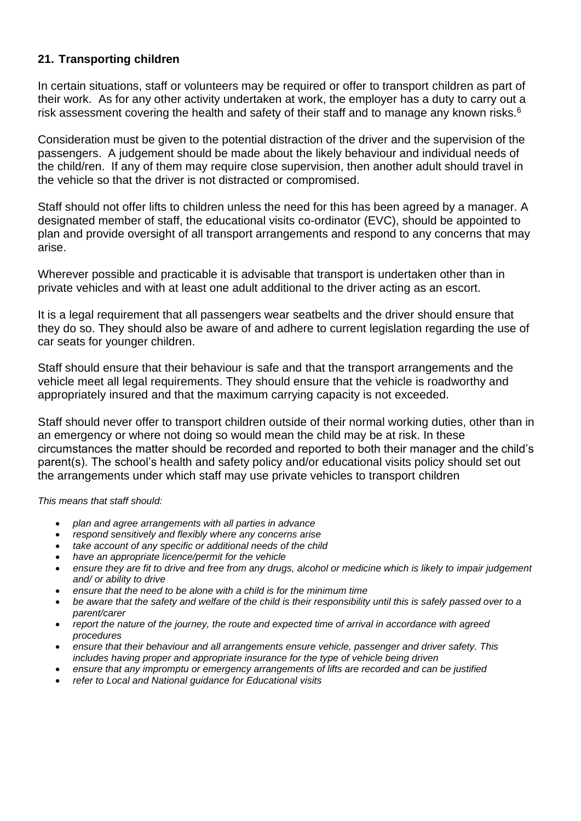## **21. Transporting children**

In certain situations, staff or volunteers may be required or offer to transport children as part of their work. As for any other activity undertaken at work, the employer has a duty to carry out a risk assessment covering the health and safety of their staff and to manage any known risks.<sup>6</sup>

Consideration must be given to the potential distraction of the driver and the supervision of the passengers. A judgement should be made about the likely behaviour and individual needs of the child/ren. If any of them may require close supervision, then another adult should travel in the vehicle so that the driver is not distracted or compromised.

Staff should not offer lifts to children unless the need for this has been agreed by a manager. A designated member of staff, the educational visits co-ordinator (EVC), should be appointed to plan and provide oversight of all transport arrangements and respond to any concerns that may arise.

Wherever possible and practicable it is advisable that transport is undertaken other than in private vehicles and with at least one adult additional to the driver acting as an escort.

It is a legal requirement that all passengers wear seatbelts and the driver should ensure that they do so. They should also be aware of and adhere to current legislation regarding the use of car seats for younger children.

Staff should ensure that their behaviour is safe and that the transport arrangements and the vehicle meet all legal requirements. They should ensure that the vehicle is roadworthy and appropriately insured and that the maximum carrying capacity is not exceeded.

Staff should never offer to transport children outside of their normal working duties, other than in an emergency or where not doing so would mean the child may be at risk. In these circumstances the matter should be recorded and reported to both their manager and the child's parent(s). The school's health and safety policy and/or educational visits policy should set out the arrangements under which staff may use private vehicles to transport children

#### *This means that staff should:*

- *plan and agree arrangements with all parties in advance*
- *respond sensitively and flexibly where any concerns arise*
- *take account of any specific or additional needs of the child*
- *have an appropriate licence/permit for the vehicle*
- *ensure they are fit to drive and free from any drugs, alcohol or medicine which is likely to impair judgement and/ or ability to drive*
- *ensure that the need to be alone with a child is for the minimum time*
- *be aware that the safety and welfare of the child is their responsibility until this is safely passed over to a parent/carer*
- *report the nature of the journey, the route and expected time of arrival in accordance with agreed procedures*
- *ensure that their behaviour and all arrangements ensure vehicle, passenger and driver safety. This includes having proper and appropriate insurance for the type of vehicle being driven*
- *ensure that any impromptu or emergency arrangements of lifts are recorded and can be justified*
- *refer to Local and National guidance for Educational visits*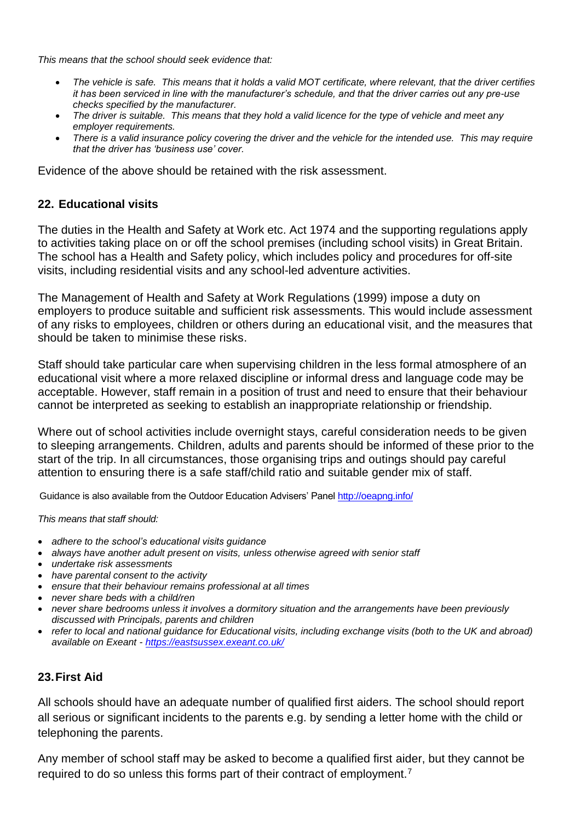*This means that the school should seek evidence that:*

- *The vehicle is safe. This means that it holds a valid MOT certificate, where relevant, that the driver certifies it has been serviced in line with the manufacturer's schedule, and that the driver carries out any pre-use checks specified by the manufacturer.*
- *The driver is suitable. This means that they hold a valid licence for the type of vehicle and meet any employer requirements.*
- *There is a valid insurance policy covering the driver and the vehicle for the intended use. This may require that the driver has 'business use' cover.*

Evidence of the above should be retained with the risk assessment.

## **22. Educational visits**

The duties in the Health and Safety at Work etc. Act 1974 and the supporting regulations apply to activities taking place on or off the school premises (including school visits) in Great Britain. The school has a Health and Safety policy, which includes policy and procedures for off-site visits, including residential visits and any school-led adventure activities.

The Management of Health and Safety at Work Regulations (1999) impose a duty on employers to produce suitable and sufficient risk assessments. This would include assessment of any risks to employees, children or others during an educational visit, and the measures that should be taken to minimise these risks.

Staff should take particular care when supervising children in the less formal atmosphere of an educational visit where a more relaxed discipline or informal dress and language code may be acceptable. However, staff remain in a position of trust and need to ensure that their behaviour cannot be interpreted as seeking to establish an inappropriate relationship or friendship.

Where out of school activities include overnight stays, careful consideration needs to be given to sleeping arrangements. Children, adults and parents should be informed of these prior to the start of the trip. In all circumstances, those organising trips and outings should pay careful attention to ensuring there is a safe staff/child ratio and suitable gender mix of staff.

Guidance is also available from the Outdoor Education Advisers' Panel<http://oeapng.info/>

*This means that staff should:*

- *adhere to the school's educational visits guidance*
- *always have another adult present on visits, unless otherwise agreed with senior staff*
- *undertake risk assessments*
- *have parental consent to the activity*
- *ensure that their behaviour remains professional at all times*
- *never share beds with a child/ren*
- *never share bedrooms unless it involves a dormitory situation and the arrangements have been previously discussed with Principals, parents and children*
- *refer to local and national guidance for Educational visits, including exchange visits (both to the UK and abroad) available on Exeant - <https://eastsussex.exeant.co.uk/>*

#### **23.First Aid**

All schools should have an adequate number of qualified first aiders. The school should report all serious or significant incidents to the parents e.g. by sending a letter home with the child or telephoning the parents.

Any member of school staff may be asked to become a qualified first aider, but they cannot be required to do so unless this forms part of their contract of employment.7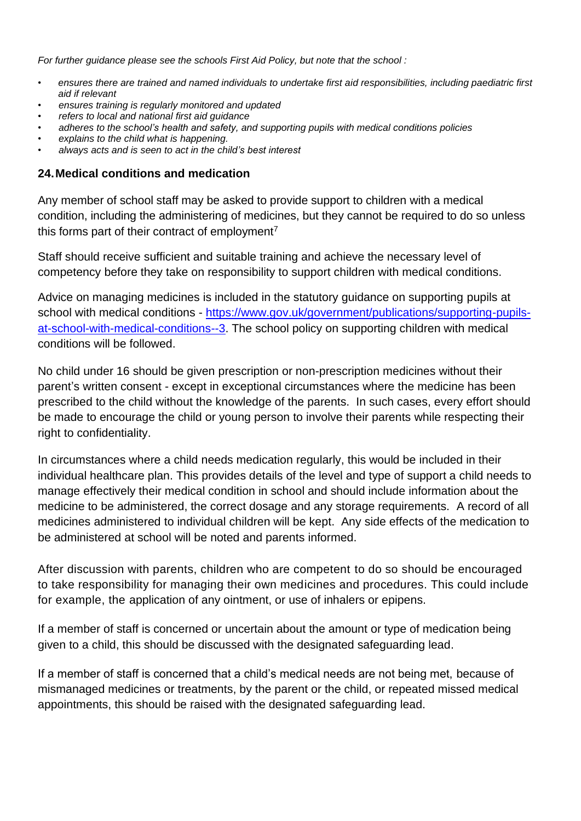*For further guidance please see the schools First Aid Policy, but note that the school :* 

- *• ensures there are trained and named individuals to undertake first aid responsibilities, including paediatric first aid if relevant*
- *• ensures training is regularly monitored and updated*
- *• refers to local and national first aid guidance*
- *• adheres to the school's health and safety, and supporting pupils with medical conditions policies*
- *• explains to the child what is happening.*
- *• always acts and is seen to act in the child's best interest*

## **24.Medical conditions and medication**

Any member of school staff may be asked to provide support to children with a medical condition, including the administering of medicines, but they cannot be required to do so unless this forms part of their contract of employment<sup>7</sup>

Staff should receive sufficient and suitable training and achieve the necessary level of competency before they take on responsibility to support children with medical conditions.

Advice on managing medicines is included in the statutory guidance on supporting pupils at school with medical conditions - [https://www.gov.uk/government/publications/supporting-pupils](https://www.gov.uk/government/publications/supporting-pupils-at-school-with-medical-conditions--3)[at-school-with-medical-conditions--3.](https://www.gov.uk/government/publications/supporting-pupils-at-school-with-medical-conditions--3) The school policy on supporting children with medical conditions will be followed.

No child under 16 should be given prescription or non-prescription medicines without their parent's written consent - except in exceptional circumstances where the medicine has been prescribed to the child without the knowledge of the parents. In such cases, every effort should be made to encourage the child or young person to involve their parents while respecting their right to confidentiality.

In circumstances where a child needs medication regularly, this would be included in their individual healthcare plan. This provides details of the level and type of support a child needs to manage effectively their medical condition in school and should include information about the medicine to be administered, the correct dosage and any storage requirements. A record of all medicines administered to individual children will be kept. Any side effects of the medication to be administered at school will be noted and parents informed.

After discussion with parents, children who are competent to do so should be encouraged to take responsibility for managing their own medicines and procedures. This could include for example, the application of any ointment, or use of inhalers or epipens.

If a member of staff is concerned or uncertain about the amount or type of medication being given to a child, this should be discussed with the designated safeguarding lead.

If a member of staff is concerned that a child's medical needs are not being met, because of mismanaged medicines or treatments, by the parent or the child, or repeated missed medical appointments, this should be raised with the designated safeguarding lead.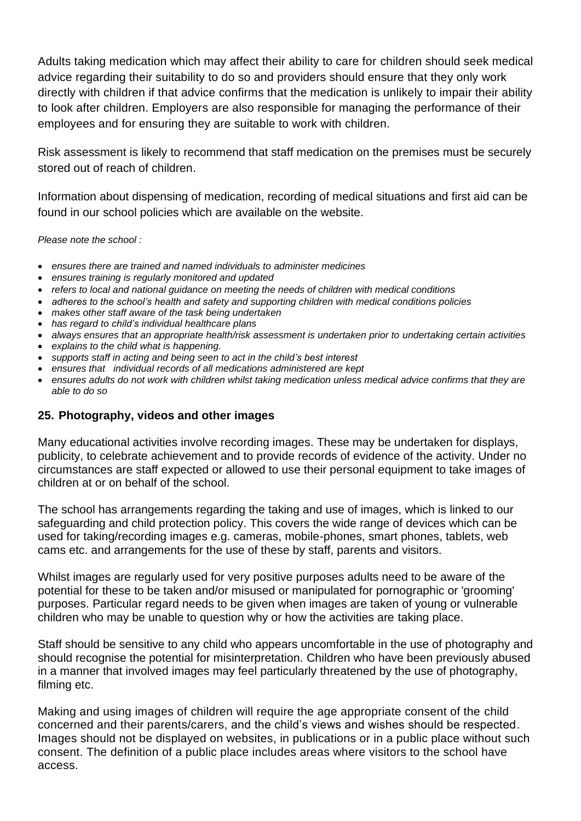Adults taking medication which may affect their ability to care for children should seek medical advice regarding their suitability to do so and providers should ensure that they only work directly with children if that advice confirms that the medication is unlikely to impair their ability to look after children. Employers are also responsible for managing the performance of their employees and for ensuring they are suitable to work with children.

Risk assessment is likely to recommend that staff medication on the premises must be securely stored out of reach of children.

Information about dispensing of medication, recording of medical situations and first aid can be found in our school policies which are available on the website.

*Please note the school :*

- *ensures there are trained and named individuals to administer medicines*
- *ensures training is regularly monitored and updated*
- *refers to local and national guidance on meeting the needs of children with medical conditions*
- *adheres to the school's health and safety and supporting children with medical conditions policies*
- *makes other staff aware of the task being undertaken*
- *has regard to child's individual healthcare plans*
- *always ensures that an appropriate health/risk assessment is undertaken prior to undertaking certain activities*
- *explains to the child what is happening.*
- *supports staff in acting and being seen to act in the child's best interest*
- *ensures that individual records of all medications administered are kept*
- *ensures adults do not work with children whilst taking medication unless medical advice confirms that they are able to do so*

## **25. Photography, videos and other images**

Many educational activities involve recording images. These may be undertaken for displays, publicity, to celebrate achievement and to provide records of evidence of the activity. Under no circumstances are staff expected or allowed to use their personal equipment to take images of children at or on behalf of the school.

The school has arrangements regarding the taking and use of images, which is linked to our safeguarding and child protection policy. This covers the wide range of devices which can be used for taking/recording images e.g. cameras, mobile-phones, smart phones, tablets, web cams etc. and arrangements for the use of these by staff, parents and visitors.

Whilst images are regularly used for very positive purposes adults need to be aware of the potential for these to be taken and/or misused or manipulated for pornographic or 'grooming' purposes. Particular regard needs to be given when images are taken of young or vulnerable children who may be unable to question why or how the activities are taking place.

Staff should be sensitive to any child who appears uncomfortable in the use of photography and should recognise the potential for misinterpretation. Children who have been previously abused in a manner that involved images may feel particularly threatened by the use of photography, filming etc.

Making and using images of children will require the age appropriate consent of the child concerned and their parents/carers, and the child's views and wishes should be respected. Images should not be displayed on websites, in publications or in a public place without such consent. The definition of a public place includes areas where visitors to the school have access.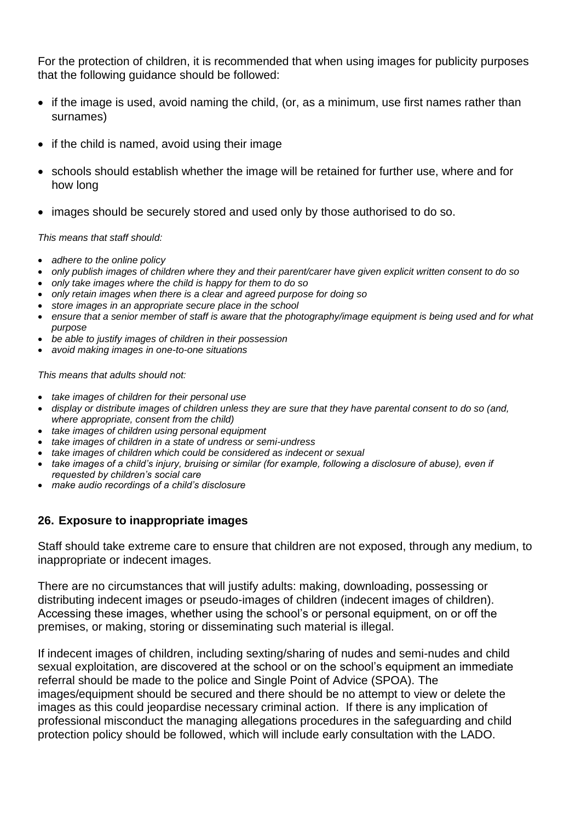For the protection of children, it is recommended that when using images for publicity purposes that the following guidance should be followed:

- if the image is used, avoid naming the child, (or, as a minimum, use first names rather than surnames)
- if the child is named, avoid using their image
- schools should establish whether the image will be retained for further use, where and for how long
- images should be securely stored and used only by those authorised to do so.

*This means that staff should:*

- *adhere to the online policy*
- *only publish images of children where they and their parent/carer have given explicit written consent to do so*
- *only take images where the child is happy for them to do so*
- *only retain images when there is a clear and agreed purpose for doing so*
- *store images in an appropriate secure place in the school*
- *ensure that a senior member of staff is aware that the photography/image equipment is being used and for what purpose*
- *be able to justify images of children in their possession*
- *avoid making images in one-to-one situations*

*This means that adults should not:*

- *take images of children for their personal use*
- *display or distribute images of children unless they are sure that they have parental consent to do so (and, where appropriate, consent from the child)*
- *take images of children using personal equipment*
- *take images of children in a state of undress or semi-undress*
- *take images of children which could be considered as indecent or sexual*
- *take images of a child's injury, bruising or similar (for example, following a disclosure of abuse), even if requested by children's social care*
- *make audio recordings of a child's disclosure*

## **26. Exposure to inappropriate images**

Staff should take extreme care to ensure that children are not exposed, through any medium, to inappropriate or indecent images.

There are no circumstances that will justify adults: making, downloading, possessing or distributing indecent images or pseudo-images of children (indecent images of children). Accessing these images, whether using the school's or personal equipment, on or off the premises, or making, storing or disseminating such material is illegal.

If indecent images of children, including sexting/sharing of nudes and semi-nudes and child sexual exploitation, are discovered at the school or on the school's equipment an immediate referral should be made to the police and Single Point of Advice (SPOA). The images/equipment should be secured and there should be no attempt to view or delete the images as this could jeopardise necessary criminal action. If there is any implication of professional misconduct the managing allegations procedures in the safeguarding and child protection policy should be followed, which will include early consultation with the LADO.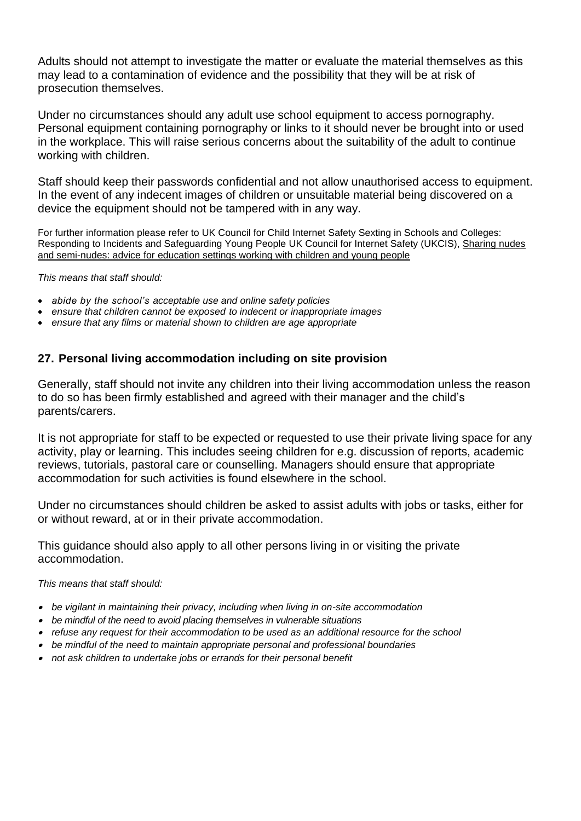Adults should not attempt to investigate the matter or evaluate the material themselves as this may lead to a contamination of evidence and the possibility that they will be at risk of prosecution themselves.

Under no circumstances should any adult use school equipment to access pornography. Personal equipment containing pornography or links to it should never be brought into or used in the workplace. This will raise serious concerns about the suitability of the adult to continue working with children.

Staff should keep their passwords confidential and not allow unauthorised access to equipment. In the event of any indecent images of children or unsuitable material being discovered on a device the equipment should not be tampered with in any way.

For further information please refer to UK Council for Child Internet Safety Sexting in Schools and Colleges: Responding to Incidents and Safeguarding Young People UK Council for Internet Safety (UKCIS), [Sharing](https://www.gov.uk/government/publications/sharing-nudes-and-semi-nudes-advice-for-education-settings-working-with-children-and-young-people) nudes and [semi-nudes:](https://www.gov.uk/government/publications/sharing-nudes-and-semi-nudes-advice-for-education-settings-working-with-children-and-young-people) advice for education settings working with children and young people

#### *This means that staff should:*

- *abide by the school's acceptable use and online safety policies*
- *ensure that children cannot be exposed to indecent or inappropriate images*
- *ensure that any films or material shown to children are age appropriate*

## **27. Personal living accommodation including on site provision**

Generally, staff should not invite any children into their living accommodation unless the reason to do so has been firmly established and agreed with their manager and the child's parents/carers.

It is not appropriate for staff to be expected or requested to use their private living space for any activity, play or learning. This includes seeing children for e.g. discussion of reports, academic reviews, tutorials, pastoral care or counselling. Managers should ensure that appropriate accommodation for such activities is found elsewhere in the school.

Under no circumstances should children be asked to assist adults with jobs or tasks, either for or without reward, at or in their private accommodation.

This guidance should also apply to all other persons living in or visiting the private accommodation.

#### *This means that staff should:*

- *be vigilant in maintaining their privacy, including when living in on-site accommodation*
- *be mindful of the need to avoid placing themselves in vulnerable situations*
- *refuse any request for their accommodation to be used as an additional resource for the school*
- *be mindful of the need to maintain appropriate personal and professional boundaries*
- *not ask children to undertake jobs or errands for their personal benefit*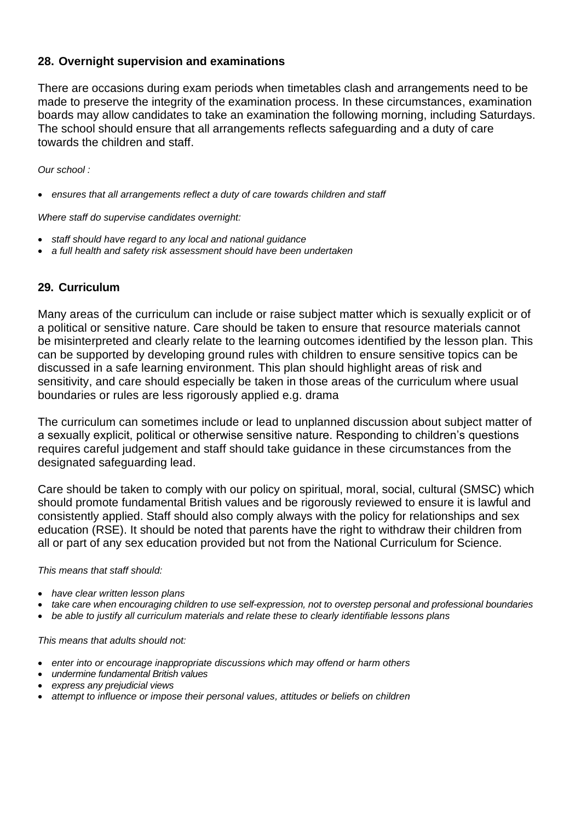## **28. Overnight supervision and examinations**

There are occasions during exam periods when timetables clash and arrangements need to be made to preserve the integrity of the examination process. In these circumstances, examination boards may allow candidates to take an examination the following morning, including Saturdays. The school should ensure that all arrangements reflects safeguarding and a duty of care towards the children and staff.

*Our school :*

• ensures that all arrangements reflect a duty of care towards children and staff

*Where staff do supervise candidates overnight:*

- *staff should have regard to any local and national guidance*
- *a full health and safety risk assessment should have been undertaken*

## **29. Curriculum**

Many areas of the curriculum can include or raise subject matter which is sexually explicit or of a political or sensitive nature. Care should be taken to ensure that resource materials cannot be misinterpreted and clearly relate to the learning outcomes identified by the lesson plan. This can be supported by developing ground rules with children to ensure sensitive topics can be discussed in a safe learning environment. This plan should highlight areas of risk and sensitivity, and care should especially be taken in those areas of the curriculum where usual boundaries or rules are less rigorously applied e.g. drama

The curriculum can sometimes include or lead to unplanned discussion about subject matter of a sexually explicit, political or otherwise sensitive nature. Responding to children's questions requires careful judgement and staff should take guidance in these circumstances from the designated safeguarding lead.

Care should be taken to comply with our policy on spiritual, moral, social, cultural (SMSC) which should promote fundamental British values and be rigorously reviewed to ensure it is lawful and consistently applied. Staff should also comply always with the policy for relationships and sex education (RSE). It should be noted that parents have the right to withdraw their children from all or part of any sex education provided but not from the National Curriculum for Science.

#### *This means that staff should:*

- *have clear written lesson plans*
- *take care when encouraging children to use self-expression, not to overstep personal and professional boundaries*
- *be able to justify all curriculum materials and relate these to clearly identifiable lessons plans*

*This means that adults should not:*

- *enter into or encourage inappropriate discussions which may offend or harm others*
- *undermine fundamental British values*
- *express any prejudicial views*
- *attempt to influence or impose their personal values, attitudes or beliefs on children*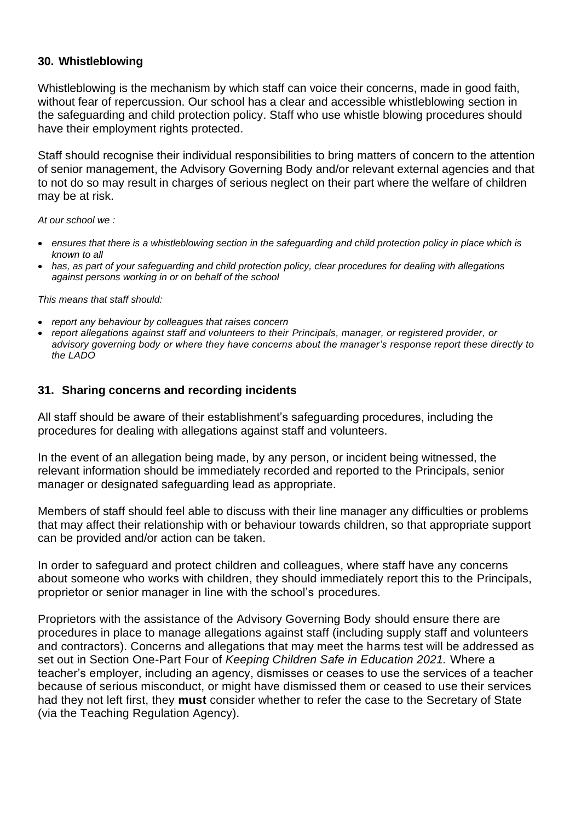## **30. Whistleblowing**

Whistleblowing is the mechanism by which staff can voice their concerns, made in good faith, without fear of repercussion. Our school has a clear and accessible whistleblowing section in the safeguarding and child protection policy. Staff who use whistle blowing procedures should have their employment rights protected.

Staff should recognise their individual responsibilities to bring matters of concern to the attention of senior management, the Advisory Governing Body and/or relevant external agencies and that to not do so may result in charges of serious neglect on their part where the welfare of children may be at risk.

*At our school we :*

- *ensures that there is a whistleblowing section in the safeguarding and child protection policy in place which is known to all*
- *has, as part of your safeguarding and child protection policy, clear procedures for dealing with allegations against persons working in or on behalf of the school*

*This means that staff should:*

- *report any behaviour by colleagues that raises concern*
- *report allegations against staff and volunteers to their Principals, manager, or registered provider, or advisory governing body or where they have concerns about the manager's response report these directly to the LADO*

## **31. Sharing concerns and recording incidents**

All staff should be aware of their establishment's safeguarding procedures, including the procedures for dealing with allegations against staff and volunteers.

In the event of an allegation being made, by any person, or incident being witnessed, the relevant information should be immediately recorded and reported to the Principals, senior manager or designated safeguarding lead as appropriate.

Members of staff should feel able to discuss with their line manager any difficulties or problems that may affect their relationship with or behaviour towards children, so that appropriate support can be provided and/or action can be taken.

In order to safeguard and protect children and colleagues, where staff have any concerns about someone who works with children, they should immediately report this to the Principals, proprietor or senior manager in line with the school's procedures.

Proprietors with the assistance of the Advisory Governing Body should ensure there are procedures in place to manage allegations against staff (including supply staff and volunteers and contractors). Concerns and allegations that may meet the harms test will be addressed as set out in Section One-Part Four of *Keeping Children Safe in Education 2021.* Where a teacher's employer, including an agency, dismisses or ceases to use the services of a teacher because of serious misconduct, or might have dismissed them or ceased to use their services had they not left first, they **must** consider whether to refer the case to the Secretary of State (via the Teaching Regulation Agency).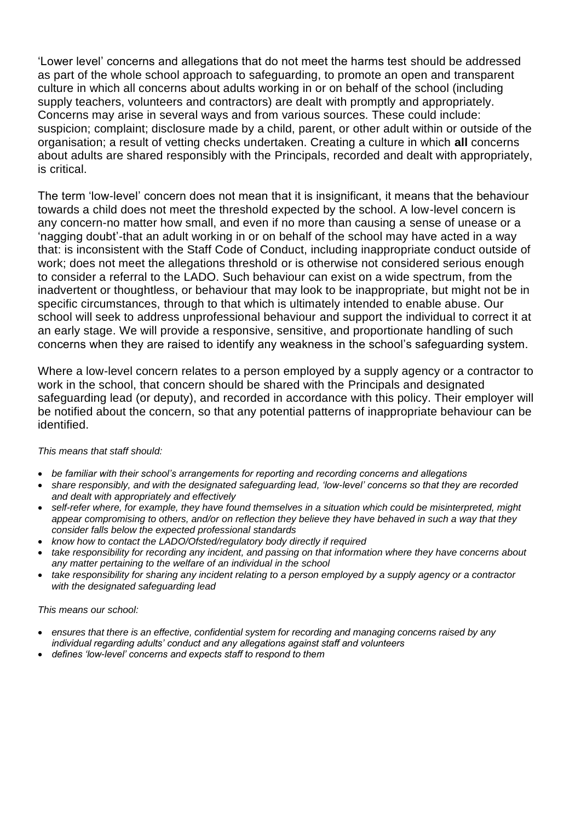'Lower level' concerns and allegations that do not meet the harms test should be addressed as part of the whole school approach to safeguarding, to promote an open and transparent culture in which all concerns about adults working in or on behalf of the school (including supply teachers, volunteers and contractors) are dealt with promptly and appropriately. Concerns may arise in several ways and from various sources. These could include: suspicion; complaint; disclosure made by a child, parent, or other adult within or outside of the organisation; a result of vetting checks undertaken. Creating a culture in which **all** concerns about adults are shared responsibly with the Principals, recorded and dealt with appropriately, is critical.

The term 'low-level' concern does not mean that it is insignificant, it means that the behaviour towards a child does not meet the threshold expected by the school. A low-level concern is any concern-no matter how small, and even if no more than causing a sense of unease or a 'nagging doubt'-that an adult working in or on behalf of the school may have acted in a way that: is inconsistent with the Staff Code of Conduct, including inappropriate conduct outside of work; does not meet the allegations threshold or is otherwise not considered serious enough to consider a referral to the LADO. Such behaviour can exist on a wide spectrum, from the inadvertent or thoughtless, or behaviour that may look to be inappropriate, but might not be in specific circumstances, through to that which is ultimately intended to enable abuse. Our school will seek to address unprofessional behaviour and support the individual to correct it at an early stage. We will provide a responsive, sensitive, and proportionate handling of such concerns when they are raised to identify any weakness in the school's safeguarding system.

Where a low-level concern relates to a person employed by a supply agency or a contractor to work in the school, that concern should be shared with the Principals and designated safeguarding lead (or deputy), and recorded in accordance with this policy. Their employer will be notified about the concern, so that any potential patterns of inappropriate behaviour can be identified.

#### *This means that staff should:*

- *be familiar with their school's arrangements for reporting and recording concerns and allegations*
- *share responsibly, and with the designated safeguarding lead, 'low-level' concerns so that they are recorded and dealt with appropriately and effectively*
- *self-refer where, for example, they have found themselves in a situation which could be misinterpreted, might appear compromising to others, and/or on reflection they believe they have behaved in such a way that they consider falls below the expected professional standards*
- *know how to contact the LADO/Ofsted/regulatory body directly if required*
- *take responsibility for recording any incident, and passing on that information where they have concerns about any matter pertaining to the welfare of an individual in the school*
- *take responsibility for sharing any incident relating to a person employed by a supply agency or a contractor with the designated safeguarding lead*

#### *This means our school:*

- *ensures that there is an effective, confidential system for recording and managing concerns raised by any individual regarding adults' conduct and any allegations against staff and volunteers*
- *defines 'low-level' concerns and expects staff to respond to them*